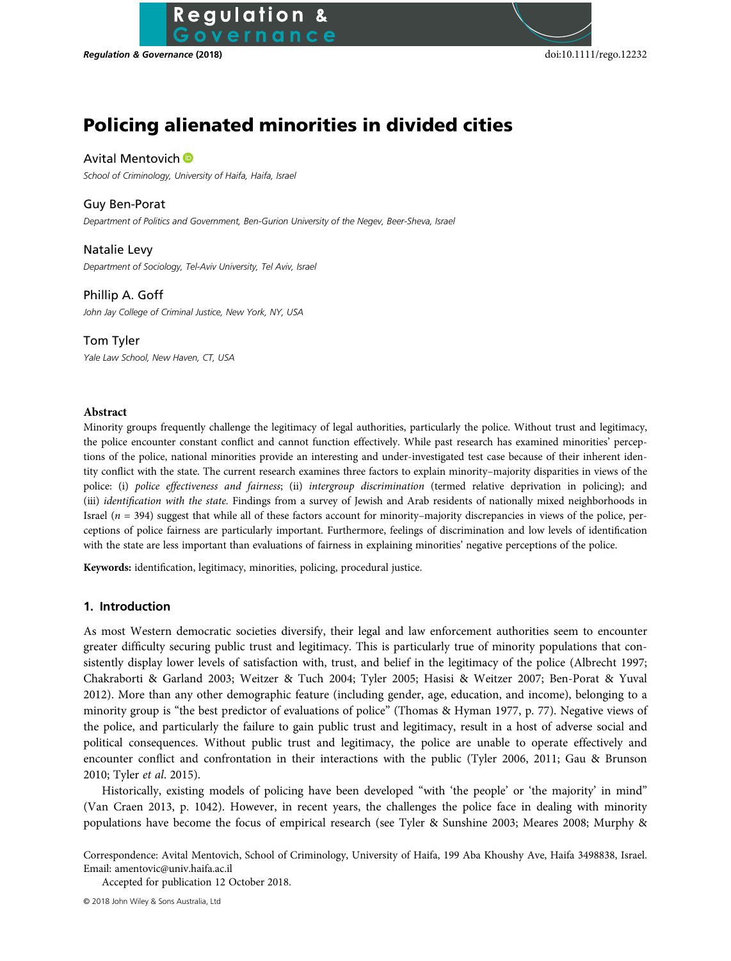

# Policing alienated minorities in divided cities

# Avital Mentovich

School of Criminology, University of Haifa, Haifa, Israel

# Guy Ben-Porat

Department of Politics and Government, Ben-Gurion University of the Negev, Beer-Sheva, Israel

# Natalie Levy

Department of Sociology, Tel-Aviv University, Tel Aviv, Israel

# Phillip A. Goff

John Jay College of Criminal Justice, New York, NY, USA

Tom Tyler Yale Law School, New Haven, CT, USA

# Abstract

Minority groups frequently challenge the legitimacy of legal authorities, particularly the police. Without trust and legitimacy, the police encounter constant conflict and cannot function effectively. While past research has examined minorities' perceptions of the police, national minorities provide an interesting and under-investigated test case because of their inherent identity conflict with the state. The current research examines three factors to explain minority–majority disparities in views of the police: (i) police effectiveness and fairness; (ii) intergroup discrimination (termed relative deprivation in policing); and (iii) identification with the state. Findings from a survey of Jewish and Arab residents of nationally mixed neighborhoods in Israel ( $n = 394$ ) suggest that while all of these factors account for minority–majority discrepancies in views of the police, perceptions of police fairness are particularly important. Furthermore, feelings of discrimination and low levels of identification with the state are less important than evaluations of fairness in explaining minorities' negative perceptions of the police.

Keywords: identification, legitimacy, minorities, policing, procedural justice.

# 1. Introduction

As most Western democratic societies diversify, their legal and law enforcement authorities seem to encounter greater difficulty securing public trust and legitimacy. This is particularly true of minority populations that consistently display lower levels of satisfaction with, trust, and belief in the legitimacy of the police (Albrecht 1997; Chakraborti & Garland 2003; Weitzer & Tuch 2004; Tyler 2005; Hasisi & Weitzer 2007; Ben-Porat & Yuval 2012). More than any other demographic feature (including gender, age, education, and income), belonging to a minority group is "the best predictor of evaluations of police" (Thomas & Hyman 1977, p. 77). Negative views of the police, and particularly the failure to gain public trust and legitimacy, result in a host of adverse social and political consequences. Without public trust and legitimacy, the police are unable to operate effectively and encounter conflict and confrontation in their interactions with the public (Tyler 2006, 2011; Gau & Brunson 2010; Tyler et al. 2015).

Historically, existing models of policing have been developed "with 'the people' or 'the majority' in mind" (Van Craen 2013, p. 1042). However, in recent years, the challenges the police face in dealing with minority populations have become the focus of empirical research (see Tyler & Sunshine 2003; Meares 2008; Murphy &

Correspondence: Avital Mentovich, School of Criminology, University of Haifa, 199 Aba Khoushy Ave, Haifa 3498838, Israel. Email: [amentovic@univ.haifa.ac.il](mailto:amentovic@univ.haifa.ac.il)

Accepted for publication 12 October 2018.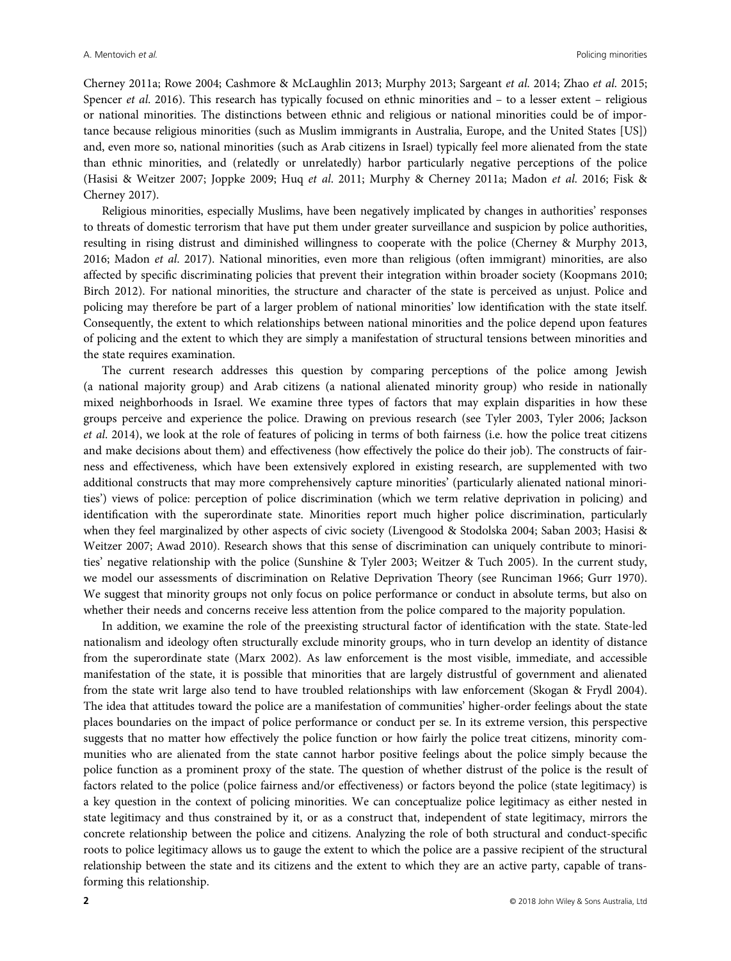Cherney 2011a; Rowe 2004; Cashmore & McLaughlin 2013; Murphy 2013; Sargeant et al. 2014; Zhao et al. 2015; Spencer et al. 2016). This research has typically focused on ethnic minorities and – to a lesser extent – religious or national minorities. The distinctions between ethnic and religious or national minorities could be of importance because religious minorities (such as Muslim immigrants in Australia, Europe, and the United States [US]) and, even more so, national minorities (such as Arab citizens in Israel) typically feel more alienated from the state than ethnic minorities, and (relatedly or unrelatedly) harbor particularly negative perceptions of the police (Hasisi & Weitzer 2007; Joppke 2009; Huq et al. 2011; Murphy & Cherney 2011a; Madon et al. 2016; Fisk & Cherney 2017).

Religious minorities, especially Muslims, have been negatively implicated by changes in authorities' responses to threats of domestic terrorism that have put them under greater surveillance and suspicion by police authorities, resulting in rising distrust and diminished willingness to cooperate with the police (Cherney & Murphy 2013, 2016; Madon et al. 2017). National minorities, even more than religious (often immigrant) minorities, are also affected by specific discriminating policies that prevent their integration within broader society (Koopmans 2010; Birch 2012). For national minorities, the structure and character of the state is perceived as unjust. Police and policing may therefore be part of a larger problem of national minorities' low identification with the state itself. Consequently, the extent to which relationships between national minorities and the police depend upon features of policing and the extent to which they are simply a manifestation of structural tensions between minorities and the state requires examination.

The current research addresses this question by comparing perceptions of the police among Jewish (a national majority group) and Arab citizens (a national alienated minority group) who reside in nationally mixed neighborhoods in Israel. We examine three types of factors that may explain disparities in how these groups perceive and experience the police. Drawing on previous research (see Tyler 2003, Tyler 2006; Jackson et al. 2014), we look at the role of features of policing in terms of both fairness (i.e. how the police treat citizens and make decisions about them) and effectiveness (how effectively the police do their job). The constructs of fairness and effectiveness, which have been extensively explored in existing research, are supplemented with two additional constructs that may more comprehensively capture minorities' (particularly alienated national minorities') views of police: perception of police discrimination (which we term relative deprivation in policing) and identification with the superordinate state. Minorities report much higher police discrimination, particularly when they feel marginalized by other aspects of civic society (Livengood & Stodolska 2004; Saban 2003; Hasisi & Weitzer 2007; Awad 2010). Research shows that this sense of discrimination can uniquely contribute to minorities' negative relationship with the police (Sunshine & Tyler 2003; Weitzer & Tuch 2005). In the current study, we model our assessments of discrimination on Relative Deprivation Theory (see Runciman 1966; Gurr 1970). We suggest that minority groups not only focus on police performance or conduct in absolute terms, but also on whether their needs and concerns receive less attention from the police compared to the majority population.

In addition, we examine the role of the preexisting structural factor of identification with the state. State-led nationalism and ideology often structurally exclude minority groups, who in turn develop an identity of distance from the superordinate state (Marx 2002). As law enforcement is the most visible, immediate, and accessible manifestation of the state, it is possible that minorities that are largely distrustful of government and alienated from the state writ large also tend to have troubled relationships with law enforcement (Skogan & Frydl 2004). The idea that attitudes toward the police are a manifestation of communities' higher-order feelings about the state places boundaries on the impact of police performance or conduct per se. In its extreme version, this perspective suggests that no matter how effectively the police function or how fairly the police treat citizens, minority communities who are alienated from the state cannot harbor positive feelings about the police simply because the police function as a prominent proxy of the state. The question of whether distrust of the police is the result of factors related to the police (police fairness and/or effectiveness) or factors beyond the police (state legitimacy) is a key question in the context of policing minorities. We can conceptualize police legitimacy as either nested in state legitimacy and thus constrained by it, or as a construct that, independent of state legitimacy, mirrors the concrete relationship between the police and citizens. Analyzing the role of both structural and conduct-specific roots to police legitimacy allows us to gauge the extent to which the police are a passive recipient of the structural relationship between the state and its citizens and the extent to which they are an active party, capable of transforming this relationship.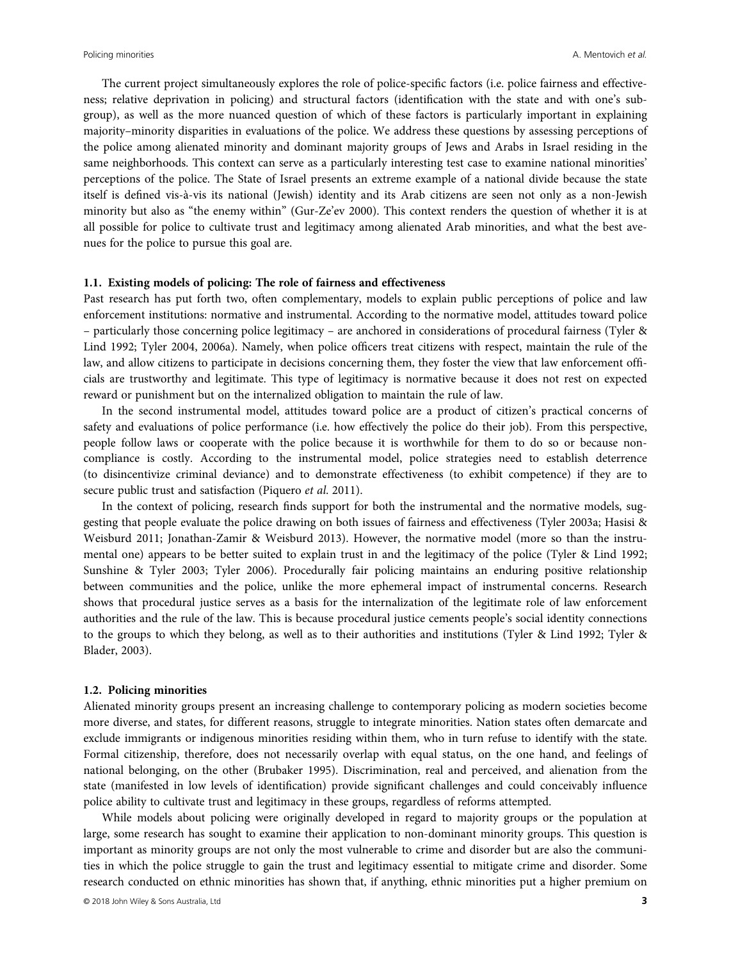The current project simultaneously explores the role of police-specific factors (i.e. police fairness and effectiveness; relative deprivation in policing) and structural factors (identification with the state and with one's subgroup), as well as the more nuanced question of which of these factors is particularly important in explaining majority–minority disparities in evaluations of the police. We address these questions by assessing perceptions of the police among alienated minority and dominant majority groups of Jews and Arabs in Israel residing in the same neighborhoods. This context can serve as a particularly interesting test case to examine national minorities' perceptions of the police. The State of Israel presents an extreme example of a national divide because the state itself is defined vis-à-vis its national (Jewish) identity and its Arab citizens are seen not only as a non-Jewish minority but also as "the enemy within" (Gur-Ze'ev 2000). This context renders the question of whether it is at all possible for police to cultivate trust and legitimacy among alienated Arab minorities, and what the best avenues for the police to pursue this goal are.

# 1.1. Existing models of policing: The role of fairness and effectiveness

Past research has put forth two, often complementary, models to explain public perceptions of police and law enforcement institutions: normative and instrumental. According to the normative model, attitudes toward police – particularly those concerning police legitimacy – are anchored in considerations of procedural fairness (Tyler & Lind 1992; Tyler 2004, 2006a). Namely, when police officers treat citizens with respect, maintain the rule of the law, and allow citizens to participate in decisions concerning them, they foster the view that law enforcement officials are trustworthy and legitimate. This type of legitimacy is normative because it does not rest on expected reward or punishment but on the internalized obligation to maintain the rule of law.

In the second instrumental model, attitudes toward police are a product of citizen's practical concerns of safety and evaluations of police performance (i.e. how effectively the police do their job). From this perspective, people follow laws or cooperate with the police because it is worthwhile for them to do so or because noncompliance is costly. According to the instrumental model, police strategies need to establish deterrence (to disincentivize criminal deviance) and to demonstrate effectiveness (to exhibit competence) if they are to secure public trust and satisfaction (Piquero et al. 2011).

In the context of policing, research finds support for both the instrumental and the normative models, suggesting that people evaluate the police drawing on both issues of fairness and effectiveness (Tyler 2003a; Hasisi & Weisburd 2011; Jonathan-Zamir & Weisburd 2013). However, the normative model (more so than the instrumental one) appears to be better suited to explain trust in and the legitimacy of the police (Tyler & Lind 1992; Sunshine & Tyler 2003; Tyler 2006). Procedurally fair policing maintains an enduring positive relationship between communities and the police, unlike the more ephemeral impact of instrumental concerns. Research shows that procedural justice serves as a basis for the internalization of the legitimate role of law enforcement authorities and the rule of the law. This is because procedural justice cements people's social identity connections to the groups to which they belong, as well as to their authorities and institutions (Tyler & Lind 1992; Tyler & Blader, 2003).

## 1.2. Policing minorities

Alienated minority groups present an increasing challenge to contemporary policing as modern societies become more diverse, and states, for different reasons, struggle to integrate minorities. Nation states often demarcate and exclude immigrants or indigenous minorities residing within them, who in turn refuse to identify with the state. Formal citizenship, therefore, does not necessarily overlap with equal status, on the one hand, and feelings of national belonging, on the other (Brubaker 1995). Discrimination, real and perceived, and alienation from the state (manifested in low levels of identification) provide significant challenges and could conceivably influence police ability to cultivate trust and legitimacy in these groups, regardless of reforms attempted.

While models about policing were originally developed in regard to majority groups or the population at large, some research has sought to examine their application to non-dominant minority groups. This question is important as minority groups are not only the most vulnerable to crime and disorder but are also the communities in which the police struggle to gain the trust and legitimacy essential to mitigate crime and disorder. Some research conducted on ethnic minorities has shown that, if anything, ethnic minorities put a higher premium on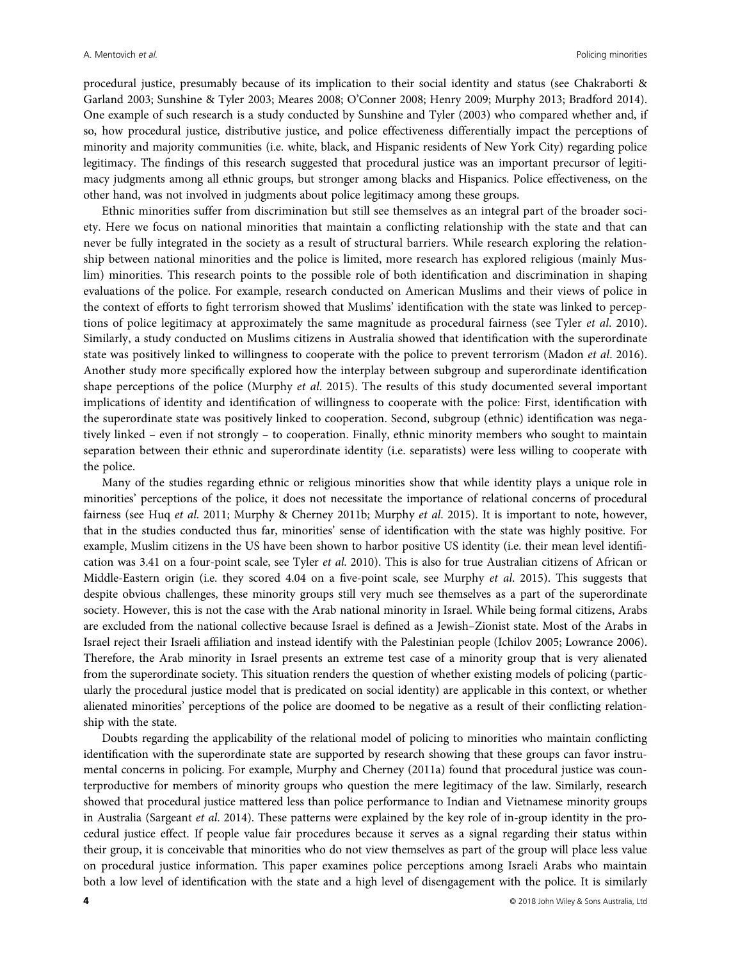procedural justice, presumably because of its implication to their social identity and status (see Chakraborti & Garland 2003; Sunshine & Tyler 2003; Meares 2008; O'Conner 2008; Henry 2009; Murphy 2013; Bradford 2014). One example of such research is a study conducted by Sunshine and Tyler (2003) who compared whether and, if so, how procedural justice, distributive justice, and police effectiveness differentially impact the perceptions of minority and majority communities (i.e. white, black, and Hispanic residents of New York City) regarding police legitimacy. The findings of this research suggested that procedural justice was an important precursor of legitimacy judgments among all ethnic groups, but stronger among blacks and Hispanics. Police effectiveness, on the other hand, was not involved in judgments about police legitimacy among these groups.

Ethnic minorities suffer from discrimination but still see themselves as an integral part of the broader society. Here we focus on national minorities that maintain a conflicting relationship with the state and that can never be fully integrated in the society as a result of structural barriers. While research exploring the relationship between national minorities and the police is limited, more research has explored religious (mainly Muslim) minorities. This research points to the possible role of both identification and discrimination in shaping evaluations of the police. For example, research conducted on American Muslims and their views of police in the context of efforts to fight terrorism showed that Muslims' identification with the state was linked to perceptions of police legitimacy at approximately the same magnitude as procedural fairness (see Tyler *et al.* 2010). Similarly, a study conducted on Muslims citizens in Australia showed that identification with the superordinate state was positively linked to willingness to cooperate with the police to prevent terrorism (Madon et al. 2016). Another study more specifically explored how the interplay between subgroup and superordinate identification shape perceptions of the police (Murphy *et al.* 2015). The results of this study documented several important implications of identity and identification of willingness to cooperate with the police: First, identification with the superordinate state was positively linked to cooperation. Second, subgroup (ethnic) identification was negatively linked – even if not strongly – to cooperation. Finally, ethnic minority members who sought to maintain separation between their ethnic and superordinate identity (i.e. separatists) were less willing to cooperate with the police.

Many of the studies regarding ethnic or religious minorities show that while identity plays a unique role in minorities' perceptions of the police, it does not necessitate the importance of relational concerns of procedural fairness (see Huq et al. 2011; Murphy & Cherney 2011b; Murphy et al. 2015). It is important to note, however, that in the studies conducted thus far, minorities' sense of identification with the state was highly positive. For example, Muslim citizens in the US have been shown to harbor positive US identity (i.e. their mean level identification was 3.41 on a four-point scale, see Tyler et al. 2010). This is also for true Australian citizens of African or Middle-Eastern origin (i.e. they scored 4.04 on a five-point scale, see Murphy et al. 2015). This suggests that despite obvious challenges, these minority groups still very much see themselves as a part of the superordinate society. However, this is not the case with the Arab national minority in Israel. While being formal citizens, Arabs are excluded from the national collective because Israel is defined as a Jewish–Zionist state. Most of the Arabs in Israel reject their Israeli affiliation and instead identify with the Palestinian people (Ichilov 2005; Lowrance 2006). Therefore, the Arab minority in Israel presents an extreme test case of a minority group that is very alienated from the superordinate society. This situation renders the question of whether existing models of policing (particularly the procedural justice model that is predicated on social identity) are applicable in this context, or whether alienated minorities' perceptions of the police are doomed to be negative as a result of their conflicting relationship with the state.

Doubts regarding the applicability of the relational model of policing to minorities who maintain conflicting identification with the superordinate state are supported by research showing that these groups can favor instrumental concerns in policing. For example, Murphy and Cherney (2011a) found that procedural justice was counterproductive for members of minority groups who question the mere legitimacy of the law. Similarly, research showed that procedural justice mattered less than police performance to Indian and Vietnamese minority groups in Australia (Sargeant et al. 2014). These patterns were explained by the key role of in-group identity in the procedural justice effect. If people value fair procedures because it serves as a signal regarding their status within their group, it is conceivable that minorities who do not view themselves as part of the group will place less value on procedural justice information. This paper examines police perceptions among Israeli Arabs who maintain both a low level of identification with the state and a high level of disengagement with the police. It is similarly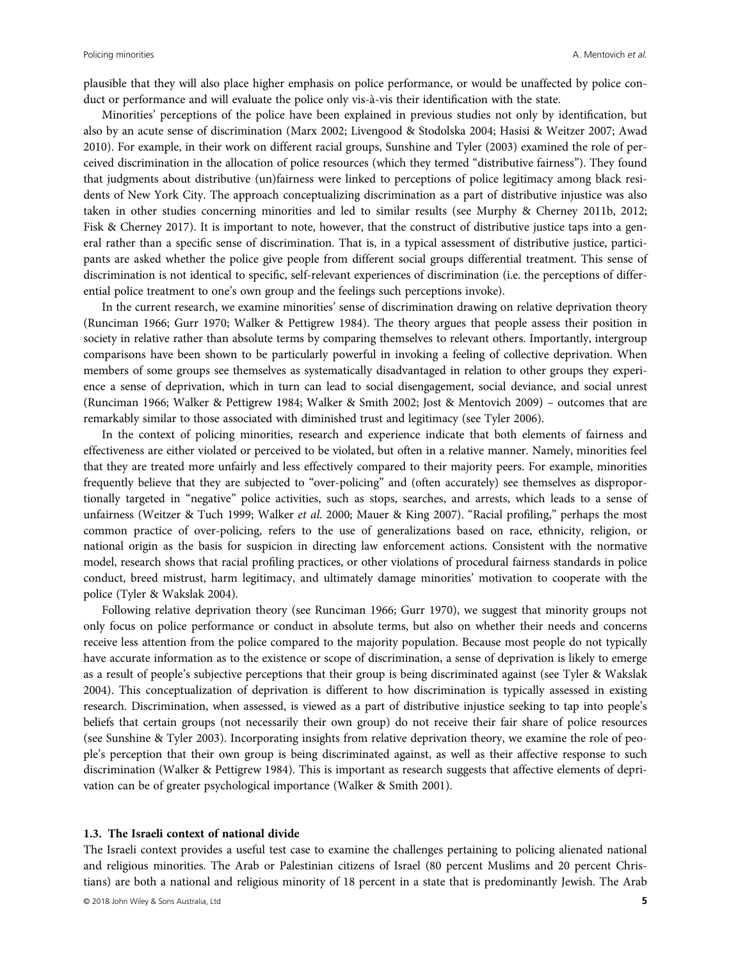plausible that they will also place higher emphasis on police performance, or would be unaffected by police conduct or performance and will evaluate the police only vis-à-vis their identification with the state.

Minorities' perceptions of the police have been explained in previous studies not only by identification, but also by an acute sense of discrimination (Marx 2002; Livengood & Stodolska 2004; Hasisi & Weitzer 2007; Awad 2010). For example, in their work on different racial groups, Sunshine and Tyler (2003) examined the role of perceived discrimination in the allocation of police resources (which they termed "distributive fairness"). They found that judgments about distributive (un)fairness were linked to perceptions of police legitimacy among black residents of New York City. The approach conceptualizing discrimination as a part of distributive injustice was also taken in other studies concerning minorities and led to similar results (see Murphy & Cherney 2011b, 2012; Fisk & Cherney 2017). It is important to note, however, that the construct of distributive justice taps into a general rather than a specific sense of discrimination. That is, in a typical assessment of distributive justice, participants are asked whether the police give people from different social groups differential treatment. This sense of discrimination is not identical to specific, self-relevant experiences of discrimination (i.e. the perceptions of differential police treatment to one's own group and the feelings such perceptions invoke).

In the current research, we examine minorities' sense of discrimination drawing on relative deprivation theory (Runciman 1966; Gurr 1970; Walker & Pettigrew 1984). The theory argues that people assess their position in society in relative rather than absolute terms by comparing themselves to relevant others. Importantly, intergroup comparisons have been shown to be particularly powerful in invoking a feeling of collective deprivation. When members of some groups see themselves as systematically disadvantaged in relation to other groups they experience a sense of deprivation, which in turn can lead to social disengagement, social deviance, and social unrest (Runciman 1966; Walker & Pettigrew 1984; Walker & Smith 2002; Jost & Mentovich 2009) – outcomes that are remarkably similar to those associated with diminished trust and legitimacy (see Tyler 2006).

In the context of policing minorities, research and experience indicate that both elements of fairness and effectiveness are either violated or perceived to be violated, but often in a relative manner. Namely, minorities feel that they are treated more unfairly and less effectively compared to their majority peers. For example, minorities frequently believe that they are subjected to "over-policing" and (often accurately) see themselves as disproportionally targeted in "negative" police activities, such as stops, searches, and arrests, which leads to a sense of unfairness (Weitzer & Tuch 1999; Walker et al. 2000; Mauer & King 2007). "Racial profiling," perhaps the most common practice of over-policing, refers to the use of generalizations based on race, ethnicity, religion, or national origin as the basis for suspicion in directing law enforcement actions. Consistent with the normative model, research shows that racial profiling practices, or other violations of procedural fairness standards in police conduct, breed mistrust, harm legitimacy, and ultimately damage minorities' motivation to cooperate with the police (Tyler & Wakslak 2004).

Following relative deprivation theory (see Runciman 1966; Gurr 1970), we suggest that minority groups not only focus on police performance or conduct in absolute terms, but also on whether their needs and concerns receive less attention from the police compared to the majority population. Because most people do not typically have accurate information as to the existence or scope of discrimination, a sense of deprivation is likely to emerge as a result of people's subjective perceptions that their group is being discriminated against (see Tyler & Wakslak 2004). This conceptualization of deprivation is different to how discrimination is typically assessed in existing research. Discrimination, when assessed, is viewed as a part of distributive injustice seeking to tap into people's beliefs that certain groups (not necessarily their own group) do not receive their fair share of police resources (see Sunshine & Tyler 2003). Incorporating insights from relative deprivation theory, we examine the role of people's perception that their own group is being discriminated against, as well as their affective response to such discrimination (Walker & Pettigrew 1984). This is important as research suggests that affective elements of deprivation can be of greater psychological importance (Walker & Smith 2001).

### 1.3. The Israeli context of national divide

The Israeli context provides a useful test case to examine the challenges pertaining to policing alienated national and religious minorities. The Arab or Palestinian citizens of Israel (80 percent Muslims and 20 percent Christians) are both a national and religious minority of 18 percent in a state that is predominantly Jewish. The Arab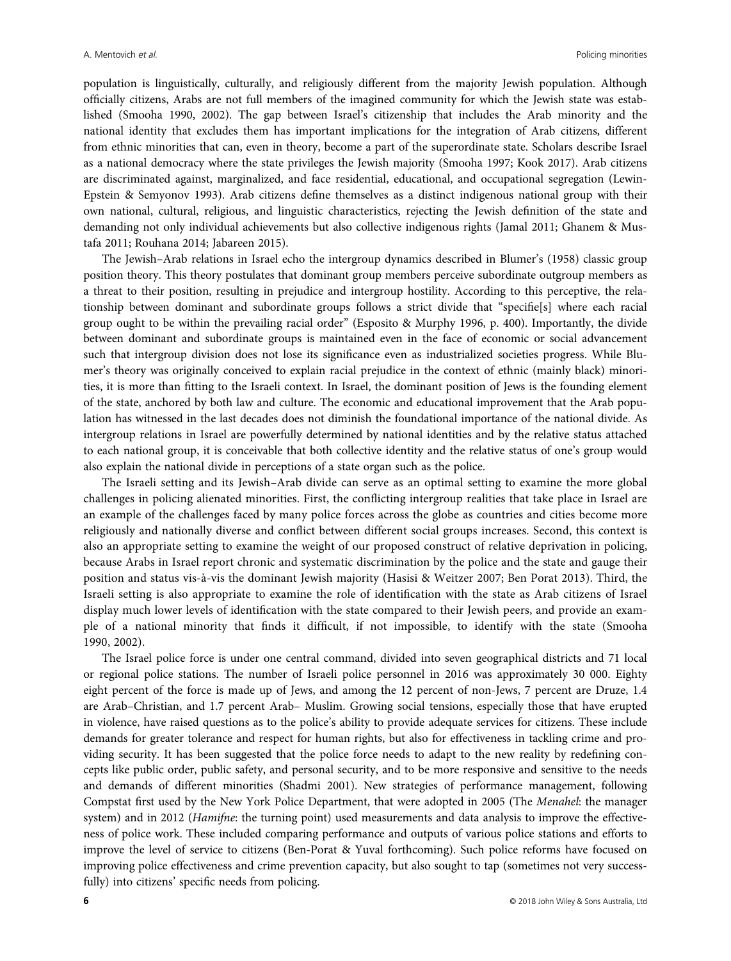population is linguistically, culturally, and religiously different from the majority Jewish population. Although officially citizens, Arabs are not full members of the imagined community for which the Jewish state was established (Smooha 1990, 2002). The gap between Israel's citizenship that includes the Arab minority and the national identity that excludes them has important implications for the integration of Arab citizens, different from ethnic minorities that can, even in theory, become a part of the superordinate state. Scholars describe Israel as a national democracy where the state privileges the Jewish majority (Smooha 1997; Kook 2017). Arab citizens are discriminated against, marginalized, and face residential, educational, and occupational segregation (Lewin-Epstein & Semyonov 1993). Arab citizens define themselves as a distinct indigenous national group with their own national, cultural, religious, and linguistic characteristics, rejecting the Jewish definition of the state and demanding not only individual achievements but also collective indigenous rights (Jamal 2011; Ghanem & Mustafa 2011; Rouhana 2014; Jabareen 2015).

The Jewish–Arab relations in Israel echo the intergroup dynamics described in Blumer's (1958) classic group position theory. This theory postulates that dominant group members perceive subordinate outgroup members as a threat to their position, resulting in prejudice and intergroup hostility. According to this perceptive, the relationship between dominant and subordinate groups follows a strict divide that "specifie[s] where each racial group ought to be within the prevailing racial order" (Esposito & Murphy 1996, p. 400). Importantly, the divide between dominant and subordinate groups is maintained even in the face of economic or social advancement such that intergroup division does not lose its significance even as industrialized societies progress. While Blumer's theory was originally conceived to explain racial prejudice in the context of ethnic (mainly black) minorities, it is more than fitting to the Israeli context. In Israel, the dominant position of Jews is the founding element of the state, anchored by both law and culture. The economic and educational improvement that the Arab population has witnessed in the last decades does not diminish the foundational importance of the national divide. As intergroup relations in Israel are powerfully determined by national identities and by the relative status attached to each national group, it is conceivable that both collective identity and the relative status of one's group would also explain the national divide in perceptions of a state organ such as the police.

The Israeli setting and its Jewish–Arab divide can serve as an optimal setting to examine the more global challenges in policing alienated minorities. First, the conflicting intergroup realities that take place in Israel are an example of the challenges faced by many police forces across the globe as countries and cities become more religiously and nationally diverse and conflict between different social groups increases. Second, this context is also an appropriate setting to examine the weight of our proposed construct of relative deprivation in policing, because Arabs in Israel report chronic and systematic discrimination by the police and the state and gauge their position and status vis-à-vis the dominant Jewish majority (Hasisi & Weitzer 2007; Ben Porat 2013). Third, the Israeli setting is also appropriate to examine the role of identification with the state as Arab citizens of Israel display much lower levels of identification with the state compared to their Jewish peers, and provide an example of a national minority that finds it difficult, if not impossible, to identify with the state (Smooha 1990, 2002).

The Israel police force is under one central command, divided into seven geographical districts and 71 local or regional police stations. The number of Israeli police personnel in 2016 was approximately 30 000. Eighty eight percent of the force is made up of Jews, and among the 12 percent of non-Jews, 7 percent are Druze, 1.4 are Arab–Christian, and 1.7 percent Arab– Muslim. Growing social tensions, especially those that have erupted in violence, have raised questions as to the police's ability to provide adequate services for citizens. These include demands for greater tolerance and respect for human rights, but also for effectiveness in tackling crime and providing security. It has been suggested that the police force needs to adapt to the new reality by redefining concepts like public order, public safety, and personal security, and to be more responsive and sensitive to the needs and demands of different minorities (Shadmi 2001). New strategies of performance management, following Compstat first used by the New York Police Department, that were adopted in 2005 (The Menahel: the manager system) and in 2012 (Hamifne: the turning point) used measurements and data analysis to improve the effectiveness of police work. These included comparing performance and outputs of various police stations and efforts to improve the level of service to citizens (Ben-Porat & Yuval forthcoming). Such police reforms have focused on improving police effectiveness and crime prevention capacity, but also sought to tap (sometimes not very successfully) into citizens' specific needs from policing.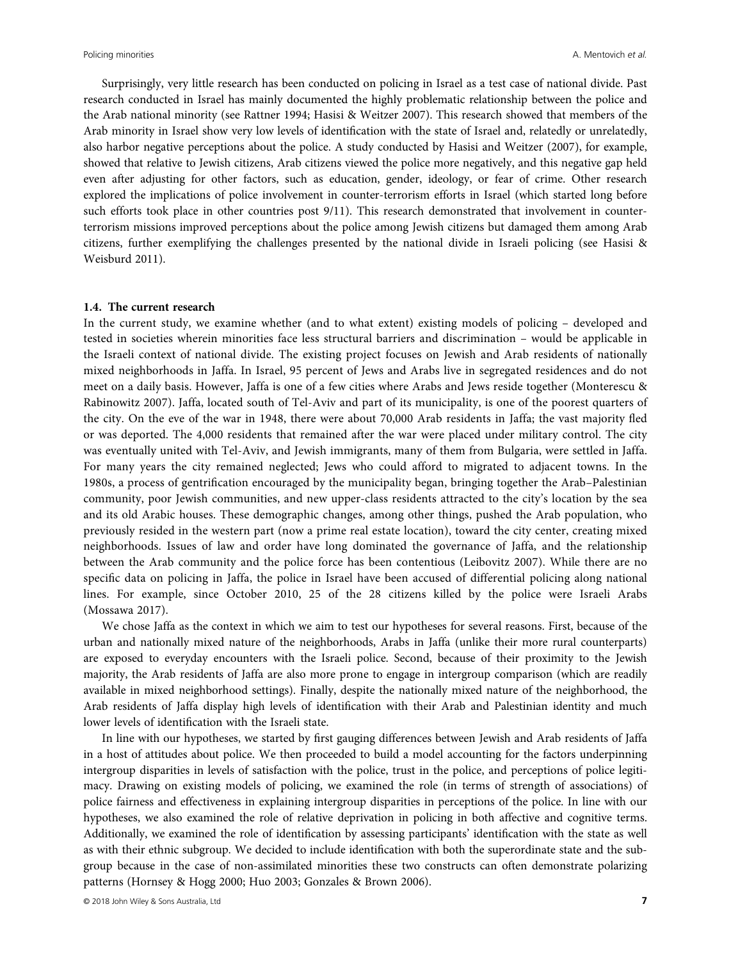Surprisingly, very little research has been conducted on policing in Israel as a test case of national divide. Past research conducted in Israel has mainly documented the highly problematic relationship between the police and the Arab national minority (see Rattner 1994; Hasisi & Weitzer 2007). This research showed that members of the Arab minority in Israel show very low levels of identification with the state of Israel and, relatedly or unrelatedly, also harbor negative perceptions about the police. A study conducted by Hasisi and Weitzer (2007), for example, showed that relative to Jewish citizens, Arab citizens viewed the police more negatively, and this negative gap held even after adjusting for other factors, such as education, gender, ideology, or fear of crime. Other research explored the implications of police involvement in counter-terrorism efforts in Israel (which started long before such efforts took place in other countries post 9/11). This research demonstrated that involvement in counterterrorism missions improved perceptions about the police among Jewish citizens but damaged them among Arab citizens, further exemplifying the challenges presented by the national divide in Israeli policing (see Hasisi & Weisburd 2011).

## 1.4. The current research

In the current study, we examine whether (and to what extent) existing models of policing – developed and tested in societies wherein minorities face less structural barriers and discrimination – would be applicable in the Israeli context of national divide. The existing project focuses on Jewish and Arab residents of nationally mixed neighborhoods in Jaffa. In Israel, 95 percent of Jews and Arabs live in segregated residences and do not meet on a daily basis. However, Jaffa is one of a few cities where Arabs and Jews reside together (Monterescu & Rabinowitz 2007). Jaffa, located south of Tel-Aviv and part of its municipality, is one of the poorest quarters of the city. On the eve of the war in 1948, there were about 70,000 Arab residents in Jaffa; the vast majority fled or was deported. The 4,000 residents that remained after the war were placed under military control. The city was eventually united with Tel-Aviv, and Jewish immigrants, many of them from Bulgaria, were settled in Jaffa. For many years the city remained neglected; Jews who could afford to migrated to adjacent towns. In the 1980s, a process of gentrification encouraged by the municipality began, bringing together the Arab–Palestinian community, poor Jewish communities, and new upper-class residents attracted to the city's location by the sea and its old Arabic houses. These demographic changes, among other things, pushed the Arab population, who previously resided in the western part (now a prime real estate location), toward the city center, creating mixed neighborhoods. Issues of law and order have long dominated the governance of Jaffa, and the relationship between the Arab community and the police force has been contentious (Leibovitz 2007). While there are no specific data on policing in Jaffa, the police in Israel have been accused of differential policing along national lines. For example, since October 2010, 25 of the 28 citizens killed by the police were Israeli Arabs (Mossawa 2017).

We chose Jaffa as the context in which we aim to test our hypotheses for several reasons. First, because of the urban and nationally mixed nature of the neighborhoods, Arabs in Jaffa (unlike their more rural counterparts) are exposed to everyday encounters with the Israeli police. Second, because of their proximity to the Jewish majority, the Arab residents of Jaffa are also more prone to engage in intergroup comparison (which are readily available in mixed neighborhood settings). Finally, despite the nationally mixed nature of the neighborhood, the Arab residents of Jaffa display high levels of identification with their Arab and Palestinian identity and much lower levels of identification with the Israeli state.

In line with our hypotheses, we started by first gauging differences between Jewish and Arab residents of Jaffa in a host of attitudes about police. We then proceeded to build a model accounting for the factors underpinning intergroup disparities in levels of satisfaction with the police, trust in the police, and perceptions of police legitimacy. Drawing on existing models of policing, we examined the role (in terms of strength of associations) of police fairness and effectiveness in explaining intergroup disparities in perceptions of the police. In line with our hypotheses, we also examined the role of relative deprivation in policing in both affective and cognitive terms. Additionally, we examined the role of identification by assessing participants' identification with the state as well as with their ethnic subgroup. We decided to include identification with both the superordinate state and the subgroup because in the case of non-assimilated minorities these two constructs can often demonstrate polarizing patterns (Hornsey & Hogg 2000; Huo 2003; Gonzales & Brown 2006).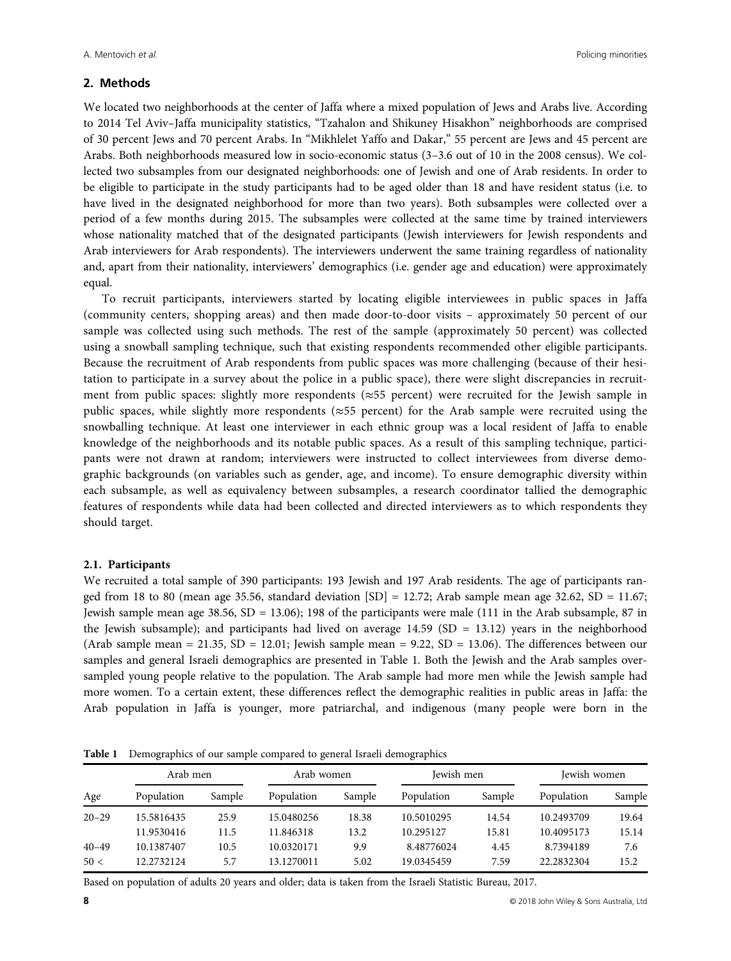# 2. Methods

We located two neighborhoods at the center of Jaffa where a mixed population of Jews and Arabs live. According to 2014 Tel Aviv–Jaffa municipality statistics, "Tzahalon and Shikuney Hisakhon" neighborhoods are comprised of 30 percent Jews and 70 percent Arabs. In "Mikhlelet Yaffo and Dakar," 55 percent are Jews and 45 percent are Arabs. Both neighborhoods measured low in socio-economic status (3–3.6 out of 10 in the 2008 census). We collected two subsamples from our designated neighborhoods: one of Jewish and one of Arab residents. In order to be eligible to participate in the study participants had to be aged older than 18 and have resident status (i.e. to have lived in the designated neighborhood for more than two years). Both subsamples were collected over a period of a few months during 2015. The subsamples were collected at the same time by trained interviewers whose nationality matched that of the designated participants (Jewish interviewers for Jewish respondents and Arab interviewers for Arab respondents). The interviewers underwent the same training regardless of nationality and, apart from their nationality, interviewers' demographics (i.e. gender age and education) were approximately equal.

To recruit participants, interviewers started by locating eligible interviewees in public spaces in Jaffa (community centers, shopping areas) and then made door-to-door visits – approximately 50 percent of our sample was collected using such methods. The rest of the sample (approximately 50 percent) was collected using a snowball sampling technique, such that existing respondents recommended other eligible participants. Because the recruitment of Arab respondents from public spaces was more challenging (because of their hesitation to participate in a survey about the police in a public space), there were slight discrepancies in recruitment from public spaces: slightly more respondents (≈55 percent) were recruited for the Jewish sample in public spaces, while slightly more respondents (≈55 percent) for the Arab sample were recruited using the snowballing technique. At least one interviewer in each ethnic group was a local resident of Jaffa to enable knowledge of the neighborhoods and its notable public spaces. As a result of this sampling technique, participants were not drawn at random; interviewers were instructed to collect interviewees from diverse demographic backgrounds (on variables such as gender, age, and income). To ensure demographic diversity within each subsample, as well as equivalency between subsamples, a research coordinator tallied the demographic features of respondents while data had been collected and directed interviewers as to which respondents they should target.

# 2.1. Participants

We recruited a total sample of 390 participants: 193 Jewish and 197 Arab residents. The age of participants ranged from 18 to 80 (mean age 35.56, standard deviation  $[SD] = 12.72$ ; Arab sample mean age 32.62, SD = 11.67; Jewish sample mean age 38.56, SD = 13.06); 198 of the participants were male (111 in the Arab subsample, 87 in the Jewish subsample); and participants had lived on average  $14.59$  (SD = 13.12) years in the neighborhood (Arab sample mean = 21.35, SD = 12.01; Jewish sample mean = 9.22, SD = 13.06). The differences between our samples and general Israeli demographics are presented in Table 1. Both the Jewish and the Arab samples oversampled young people relative to the population. The Arab sample had more men while the Jewish sample had more women. To a certain extent, these differences reflect the demographic realities in public areas in Jaffa: the Arab population in Jaffa is younger, more patriarchal, and indigenous (many people were born in the

Table 1 Demographics of our sample compared to general Israeli demographics

|           | Arab men   |        | Arab women |        | Jewish men |        | Jewish women |        |
|-----------|------------|--------|------------|--------|------------|--------|--------------|--------|
| Age       | Population | Sample | Population | Sample | Population | Sample | Population   | Sample |
| $20 - 29$ | 15.5816435 | 25.9   | 15.0480256 | 18.38  | 10.5010295 | 14.54  | 10.2493709   | 19.64  |
|           | 11.9530416 | 11.5   | 11.846318  | 13.2   | 10.295127  | 15.81  | 10.4095173   | 15.14  |
| $40 - 49$ | 10.1387407 | 10.5   | 10.0320171 | 9.9    | 8.48776024 | 4.45   | 8.7394189    | 7.6    |
| 50 <      | 12.2732124 | 5.7    | 13.1270011 | 5.02   | 19.0345459 | 7.59   | 22.2832304   | 15.2   |

Based on population of adults 20 years and older; data is taken from the Israeli Statistic Bureau, 2017.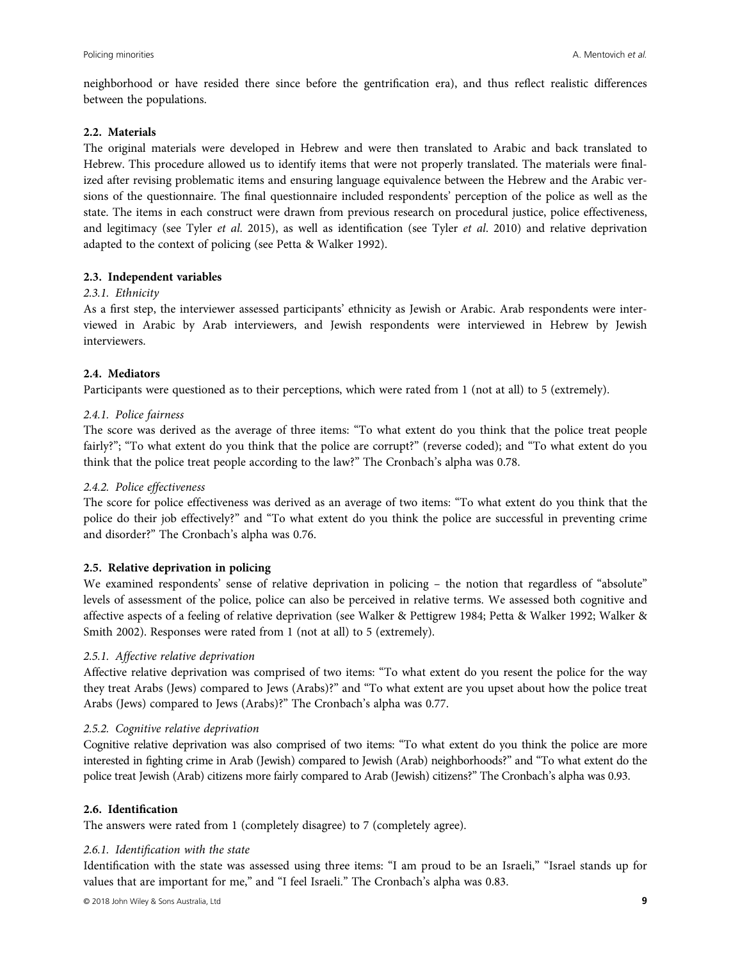neighborhood or have resided there since before the gentrification era), and thus reflect realistic differences between the populations.

# 2.2. Materials

The original materials were developed in Hebrew and were then translated to Arabic and back translated to Hebrew. This procedure allowed us to identify items that were not properly translated. The materials were finalized after revising problematic items and ensuring language equivalence between the Hebrew and the Arabic versions of the questionnaire. The final questionnaire included respondents' perception of the police as well as the state. The items in each construct were drawn from previous research on procedural justice, police effectiveness, and legitimacy (see Tyler et al. 2015), as well as identification (see Tyler et al. 2010) and relative deprivation adapted to the context of policing (see Petta & Walker 1992).

# 2.3. Independent variables

# 2.3.1. Ethnicity

As a first step, the interviewer assessed participants' ethnicity as Jewish or Arabic. Arab respondents were interviewed in Arabic by Arab interviewers, and Jewish respondents were interviewed in Hebrew by Jewish interviewers.

# 2.4. Mediators

Participants were questioned as to their perceptions, which were rated from 1 (not at all) to 5 (extremely).

# 2.4.1. Police fairness

The score was derived as the average of three items: "To what extent do you think that the police treat people fairly?"; "To what extent do you think that the police are corrupt?" (reverse coded); and "To what extent do you think that the police treat people according to the law?" The Cronbach's alpha was 0.78.

# 2.4.2. Police effectiveness

The score for police effectiveness was derived as an average of two items: "To what extent do you think that the police do their job effectively?" and "To what extent do you think the police are successful in preventing crime and disorder?" The Cronbach's alpha was 0.76.

# 2.5. Relative deprivation in policing

We examined respondents' sense of relative deprivation in policing – the notion that regardless of "absolute" levels of assessment of the police, police can also be perceived in relative terms. We assessed both cognitive and affective aspects of a feeling of relative deprivation (see Walker & Pettigrew 1984; Petta & Walker 1992; Walker & Smith 2002). Responses were rated from 1 (not at all) to 5 (extremely).

# 2.5.1. Affective relative deprivation

Affective relative deprivation was comprised of two items: "To what extent do you resent the police for the way they treat Arabs (Jews) compared to Jews (Arabs)?" and "To what extent are you upset about how the police treat Arabs (Jews) compared to Jews (Arabs)?" The Cronbach's alpha was 0.77.

# 2.5.2. Cognitive relative deprivation

Cognitive relative deprivation was also comprised of two items: "To what extent do you think the police are more interested in fighting crime in Arab (Jewish) compared to Jewish (Arab) neighborhoods?" and "To what extent do the police treat Jewish (Arab) citizens more fairly compared to Arab (Jewish) citizens?" The Cronbach's alpha was 0.93.

# 2.6. Identification

The answers were rated from 1 (completely disagree) to 7 (completely agree).

# 2.6.1. Identification with the state

Identification with the state was assessed using three items: "I am proud to be an Israeli," "Israel stands up for values that are important for me," and "I feel Israeli." The Cronbach's alpha was 0.83.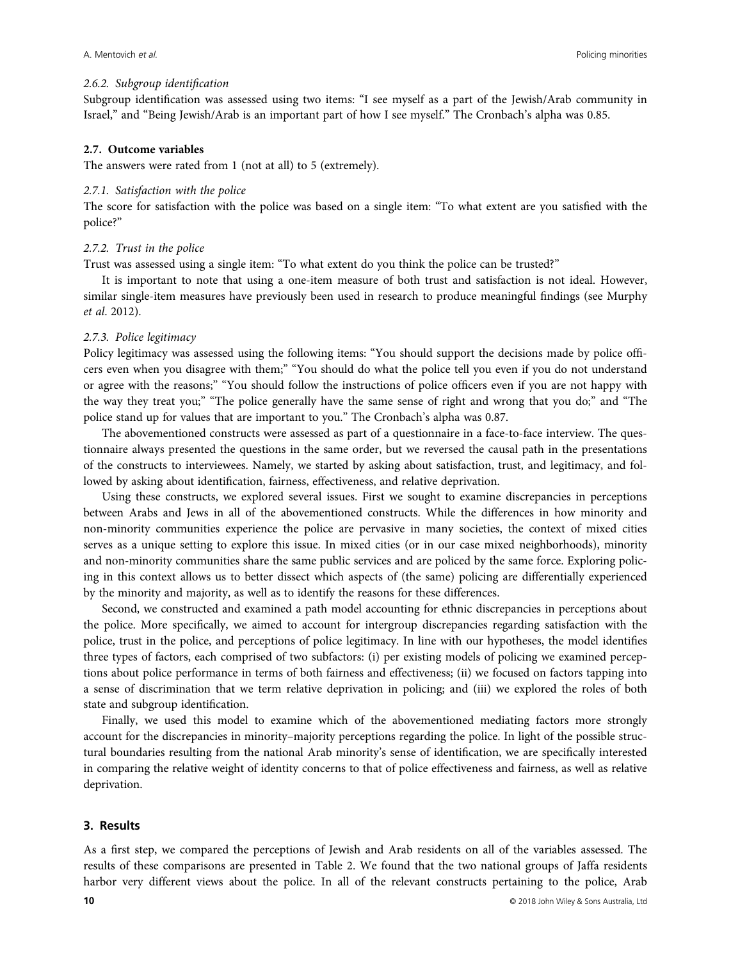## 2.6.2. Subgroup identification

Subgroup identification was assessed using two items: "I see myself as a part of the Jewish/Arab community in Israel," and "Being Jewish/Arab is an important part of how I see myself." The Cronbach's alpha was 0.85.

## 2.7. Outcome variables

The answers were rated from 1 (not at all) to 5 (extremely).

## 2.7.1. Satisfaction with the police

The score for satisfaction with the police was based on a single item: "To what extent are you satisfied with the police?"

## 2.7.2. Trust in the police

Trust was assessed using a single item: "To what extent do you think the police can be trusted?"

It is important to note that using a one-item measure of both trust and satisfaction is not ideal. However, similar single-item measures have previously been used in research to produce meaningful findings (see Murphy et al. 2012).

## 2.7.3. Police legitimacy

Policy legitimacy was assessed using the following items: "You should support the decisions made by police officers even when you disagree with them;" "You should do what the police tell you even if you do not understand or agree with the reasons;" "You should follow the instructions of police officers even if you are not happy with the way they treat you;" "The police generally have the same sense of right and wrong that you do;" and "The police stand up for values that are important to you." The Cronbach's alpha was 0.87.

The abovementioned constructs were assessed as part of a questionnaire in a face-to-face interview. The questionnaire always presented the questions in the same order, but we reversed the causal path in the presentations of the constructs to interviewees. Namely, we started by asking about satisfaction, trust, and legitimacy, and followed by asking about identification, fairness, effectiveness, and relative deprivation.

Using these constructs, we explored several issues. First we sought to examine discrepancies in perceptions between Arabs and Jews in all of the abovementioned constructs. While the differences in how minority and non-minority communities experience the police are pervasive in many societies, the context of mixed cities serves as a unique setting to explore this issue. In mixed cities (or in our case mixed neighborhoods), minority and non-minority communities share the same public services and are policed by the same force. Exploring policing in this context allows us to better dissect which aspects of (the same) policing are differentially experienced by the minority and majority, as well as to identify the reasons for these differences.

Second, we constructed and examined a path model accounting for ethnic discrepancies in perceptions about the police. More specifically, we aimed to account for intergroup discrepancies regarding satisfaction with the police, trust in the police, and perceptions of police legitimacy. In line with our hypotheses, the model identifies three types of factors, each comprised of two subfactors: (i) per existing models of policing we examined perceptions about police performance in terms of both fairness and effectiveness; (ii) we focused on factors tapping into a sense of discrimination that we term relative deprivation in policing; and (iii) we explored the roles of both state and subgroup identification.

Finally, we used this model to examine which of the abovementioned mediating factors more strongly account for the discrepancies in minority–majority perceptions regarding the police. In light of the possible structural boundaries resulting from the national Arab minority's sense of identification, we are specifically interested in comparing the relative weight of identity concerns to that of police effectiveness and fairness, as well as relative deprivation.

# 3. Results

As a first step, we compared the perceptions of Jewish and Arab residents on all of the variables assessed. The results of these comparisons are presented in Table 2. We found that the two national groups of Jaffa residents harbor very different views about the police. In all of the relevant constructs pertaining to the police, Arab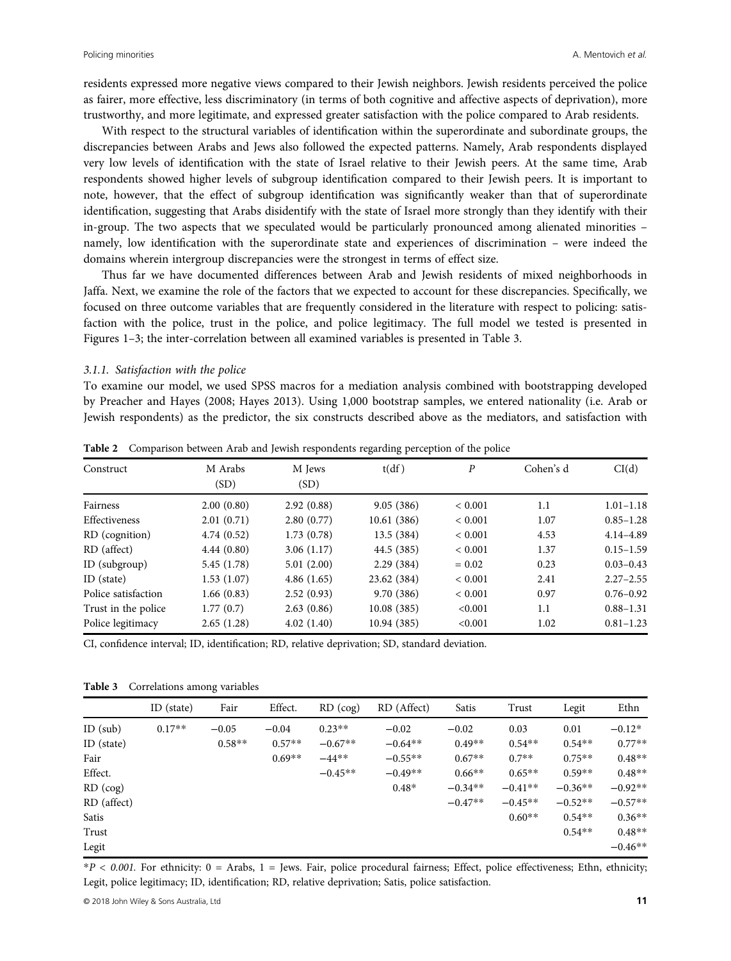residents expressed more negative views compared to their Jewish neighbors. Jewish residents perceived the police as fairer, more effective, less discriminatory (in terms of both cognitive and affective aspects of deprivation), more trustworthy, and more legitimate, and expressed greater satisfaction with the police compared to Arab residents.

With respect to the structural variables of identification within the superordinate and subordinate groups, the discrepancies between Arabs and Jews also followed the expected patterns. Namely, Arab respondents displayed very low levels of identification with the state of Israel relative to their Jewish peers. At the same time, Arab respondents showed higher levels of subgroup identification compared to their Jewish peers. It is important to note, however, that the effect of subgroup identification was significantly weaker than that of superordinate identification, suggesting that Arabs disidentify with the state of Israel more strongly than they identify with their in-group. The two aspects that we speculated would be particularly pronounced among alienated minorities – namely, low identification with the superordinate state and experiences of discrimination – were indeed the domains wherein intergroup discrepancies were the strongest in terms of effect size.

Thus far we have documented differences between Arab and Jewish residents of mixed neighborhoods in Jaffa. Next, we examine the role of the factors that we expected to account for these discrepancies. Specifically, we focused on three outcome variables that are frequently considered in the literature with respect to policing: satisfaction with the police, trust in the police, and police legitimacy. The full model we tested is presented in Figures 1–3; the inter-correlation between all examined variables is presented in Table 3.

## 3.1.1. Satisfaction with the police

To examine our model, we used SPSS macros for a mediation analysis combined with bootstrapping developed by Preacher and Hayes (2008; Hayes 2013). Using 1,000 bootstrap samples, we entered nationality (i.e. Arab or Jewish respondents) as the predictor, the six constructs described above as the mediators, and satisfaction with

| Construct           | M Arabs<br>(SD) | M Jews<br>(SD) | t(df)       | P              | Cohen's d | CI(d)         |
|---------------------|-----------------|----------------|-------------|----------------|-----------|---------------|
| Fairness            | 2.00(0.80)      | 2.92(0.88)     | 9.05(386)   | ${}_{< 0.001}$ | 1.1       | $1.01 - 1.18$ |
| Effectiveness       | 2.01(0.71)      | 2.80(0.77)     | 10.61 (386) | ${}< 0.001$    | 1.07      | $0.85 - 1.28$ |
| RD (cognition)      | 4.74(0.52)      | 1.73(0.78)     | 13.5 (384)  | < 0.001        | 4.53      | 4.14-4.89     |
| RD (affect)         | 4.44(0.80)      | 3.06(1.17)     | 44.5 (385)  | ${}< 0.001$    | 1.37      | $0.15 - 1.59$ |
| ID (subgroup)       | 5.45(1.78)      | 5.01(2.00)     | 2.29(384)   | $= 0.02$       | 0.23      | $0.03 - 0.43$ |
| ID (state)          | 1.53(1.07)      | 4.86(1.65)     | 23.62 (384) | ${}< 0.001$    | 2.41      | $2.27 - 2.55$ |
| Police satisfaction | 1.66(0.83)      | 2.52(0.93)     | 9.70(386)   | ${}< 0.001$    | 0.97      | $0.76 - 0.92$ |
| Trust in the police | 1.77(0.7)       | 2.63(0.86)     | 10.08(385)  | < 0.001        | 1.1       | $0.88 - 1.31$ |
| Police legitimacy   | 2.65(1.28)      | 4.02(1.40)     | 10.94 (385) | < 0.001        | 1.02      | $0.81 - 1.23$ |

Table 2 Comparison between Arab and Jewish respondents regarding perception of the police

CI, confidence interval; ID, identification; RD, relative deprivation; SD, standard deviation.

Table 3 Correlations among variables

|              | ID (state) | Fair     | Effect.  | $RD$ $(cog)$ | RD (Affect) | Satis     | Trust     | Legit     | Ethn      |
|--------------|------------|----------|----------|--------------|-------------|-----------|-----------|-----------|-----------|
| $ID$ (sub)   | $0.17**$   | $-0.05$  | $-0.04$  | $0.23**$     | $-0.02$     | $-0.02$   | 0.03      | 0.01      | $-0.12*$  |
| ID (state)   |            | $0.58**$ | $0.57**$ | $-0.67**$    | $-0.64**$   | $0.49**$  | $0.54**$  | $0.54**$  | $0.77**$  |
| Fair         |            |          | $0.69**$ | $-44**$      | $-0.55**$   | $0.67**$  | $0.7**$   | $0.75**$  | $0.48**$  |
| Effect.      |            |          |          | $-0.45**$    | $-0.49**$   | $0.66**$  | $0.65**$  | $0.59**$  | $0.48**$  |
| $RD$ $(cog)$ |            |          |          |              | $0.48*$     | $-0.34**$ | $-0.41**$ | $-0.36**$ | $-0.92**$ |
| RD (affect)  |            |          |          |              |             | $-0.47**$ | $-0.45**$ | $-0.52**$ | $-0.57**$ |
| Satis        |            |          |          |              |             |           | $0.60**$  | $0.54**$  | $0.36**$  |
| Trust        |            |          |          |              |             |           |           | $0.54**$  | $0.48**$  |
| Legit        |            |          |          |              |             |           |           |           | $-0.46**$ |

\*P < 0.001. For ethnicity: 0 = Arabs, 1 = Jews. Fair, police procedural fairness; Effect, police effectiveness; Ethn, ethnicity; Legit, police legitimacy; ID, identification; RD, relative deprivation; Satis, police satisfaction.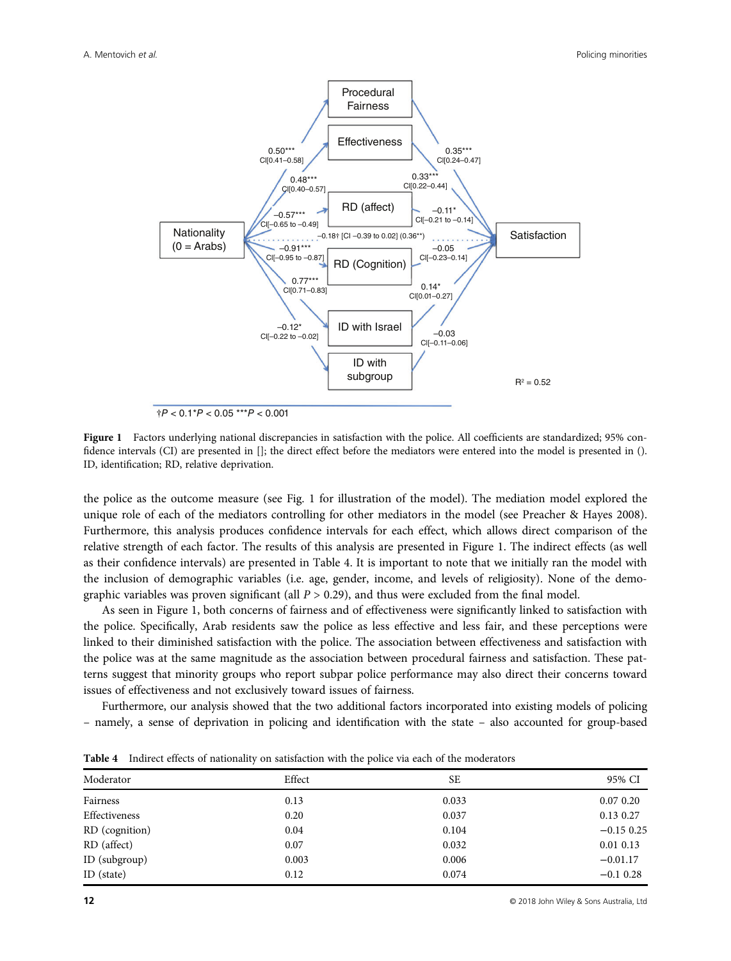

**†***P* < 0.1\**P* < 0.05 \*\*\**P* < 0.001

Figure 1 Factors underlying national discrepancies in satisfaction with the police. All coefficients are standardized; 95% confidence intervals (CI) are presented in []; the direct effect before the mediators were entered into the model is presented in (). ID, identification; RD, relative deprivation.

the police as the outcome measure (see Fig. 1 for illustration of the model). The mediation model explored the unique role of each of the mediators controlling for other mediators in the model (see Preacher & Hayes 2008). Furthermore, this analysis produces confidence intervals for each effect, which allows direct comparison of the relative strength of each factor. The results of this analysis are presented in Figure 1. The indirect effects (as well as their confidence intervals) are presented in Table 4. It is important to note that we initially ran the model with the inclusion of demographic variables (i.e. age, gender, income, and levels of religiosity). None of the demographic variables was proven significant (all  $P > 0.29$ ), and thus were excluded from the final model.

As seen in Figure 1, both concerns of fairness and of effectiveness were significantly linked to satisfaction with the police. Specifically, Arab residents saw the police as less effective and less fair, and these perceptions were linked to their diminished satisfaction with the police. The association between effectiveness and satisfaction with the police was at the same magnitude as the association between procedural fairness and satisfaction. These patterns suggest that minority groups who report subpar police performance may also direct their concerns toward issues of effectiveness and not exclusively toward issues of fairness.

Furthermore, our analysis showed that the two additional factors incorporated into existing models of policing – namely, a sense of deprivation in policing and identification with the state – also accounted for group-based

| Moderator      | Effect | <b>SE</b> | 95% CI       |
|----------------|--------|-----------|--------------|
| Fairness       | 0.13   | 0.033     | 0.070.20     |
| Effectiveness  | 0.20   | 0.037     | 0.13 0.27    |
| RD (cognition) | 0.04   | 0.104     | $-0.15$ 0.25 |
| RD (affect)    | 0.07   | 0.032     | 0.01 0.13    |
| ID (subgroup)  | 0.003  | 0.006     | $-0.01.17$   |
| ID (state)     | 0.12   | 0.074     | $-0.1$ 0.28  |

Table 4 Indirect effects of nationality on satisfaction with the police via each of the moderators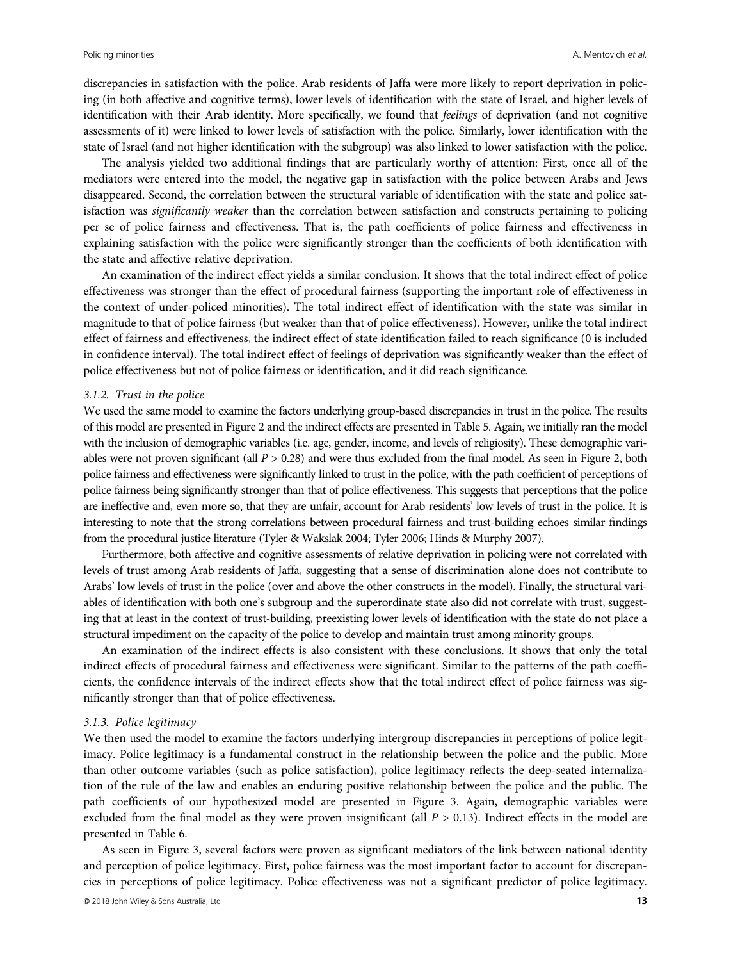discrepancies in satisfaction with the police. Arab residents of Jaffa were more likely to report deprivation in policing (in both affective and cognitive terms), lower levels of identification with the state of Israel, and higher levels of identification with their Arab identity. More specifically, we found that *feelings* of deprivation (and not cognitive assessments of it) were linked to lower levels of satisfaction with the police. Similarly, lower identification with the state of Israel (and not higher identification with the subgroup) was also linked to lower satisfaction with the police.

The analysis yielded two additional findings that are particularly worthy of attention: First, once all of the mediators were entered into the model, the negative gap in satisfaction with the police between Arabs and Jews disappeared. Second, the correlation between the structural variable of identification with the state and police satisfaction was significantly weaker than the correlation between satisfaction and constructs pertaining to policing per se of police fairness and effectiveness. That is, the path coefficients of police fairness and effectiveness in explaining satisfaction with the police were significantly stronger than the coefficients of both identification with the state and affective relative deprivation.

An examination of the indirect effect yields a similar conclusion. It shows that the total indirect effect of police effectiveness was stronger than the effect of procedural fairness (supporting the important role of effectiveness in the context of under-policed minorities). The total indirect effect of identification with the state was similar in magnitude to that of police fairness (but weaker than that of police effectiveness). However, unlike the total indirect effect of fairness and effectiveness, the indirect effect of state identification failed to reach significance (0 is included in confidence interval). The total indirect effect of feelings of deprivation was significantly weaker than the effect of police effectiveness but not of police fairness or identification, and it did reach significance.

## 3.1.2. Trust in the police

We used the same model to examine the factors underlying group-based discrepancies in trust in the police. The results of this model are presented in Figure 2 and the indirect effects are presented in Table 5. Again, we initially ran the model with the inclusion of demographic variables (i.e. age, gender, income, and levels of religiosity). These demographic variables were not proven significant (all  $P > 0.28$ ) and were thus excluded from the final model. As seen in Figure 2, both police fairness and effectiveness were significantly linked to trust in the police, with the path coefficient of perceptions of police fairness being significantly stronger than that of police effectiveness. This suggests that perceptions that the police are ineffective and, even more so, that they are unfair, account for Arab residents' low levels of trust in the police. It is interesting to note that the strong correlations between procedural fairness and trust-building echoes similar findings from the procedural justice literature (Tyler & Wakslak 2004; Tyler 2006; Hinds & Murphy 2007).

Furthermore, both affective and cognitive assessments of relative deprivation in policing were not correlated with levels of trust among Arab residents of Jaffa, suggesting that a sense of discrimination alone does not contribute to Arabs' low levels of trust in the police (over and above the other constructs in the model). Finally, the structural variables of identification with both one's subgroup and the superordinate state also did not correlate with trust, suggesting that at least in the context of trust-building, preexisting lower levels of identification with the state do not place a structural impediment on the capacity of the police to develop and maintain trust among minority groups.

An examination of the indirect effects is also consistent with these conclusions. It shows that only the total indirect effects of procedural fairness and effectiveness were significant. Similar to the patterns of the path coefficients, the confidence intervals of the indirect effects show that the total indirect effect of police fairness was significantly stronger than that of police effectiveness.

## 3.1.3. Police legitimacy

We then used the model to examine the factors underlying intergroup discrepancies in perceptions of police legitimacy. Police legitimacy is a fundamental construct in the relationship between the police and the public. More than other outcome variables (such as police satisfaction), police legitimacy reflects the deep-seated internalization of the rule of the law and enables an enduring positive relationship between the police and the public. The path coefficients of our hypothesized model are presented in Figure 3. Again, demographic variables were excluded from the final model as they were proven insignificant (all  $P > 0.13$ ). Indirect effects in the model are presented in Table 6.

As seen in Figure 3, several factors were proven as significant mediators of the link between national identity and perception of police legitimacy. First, police fairness was the most important factor to account for discrepancies in perceptions of police legitimacy. Police effectiveness was not a significant predictor of police legitimacy.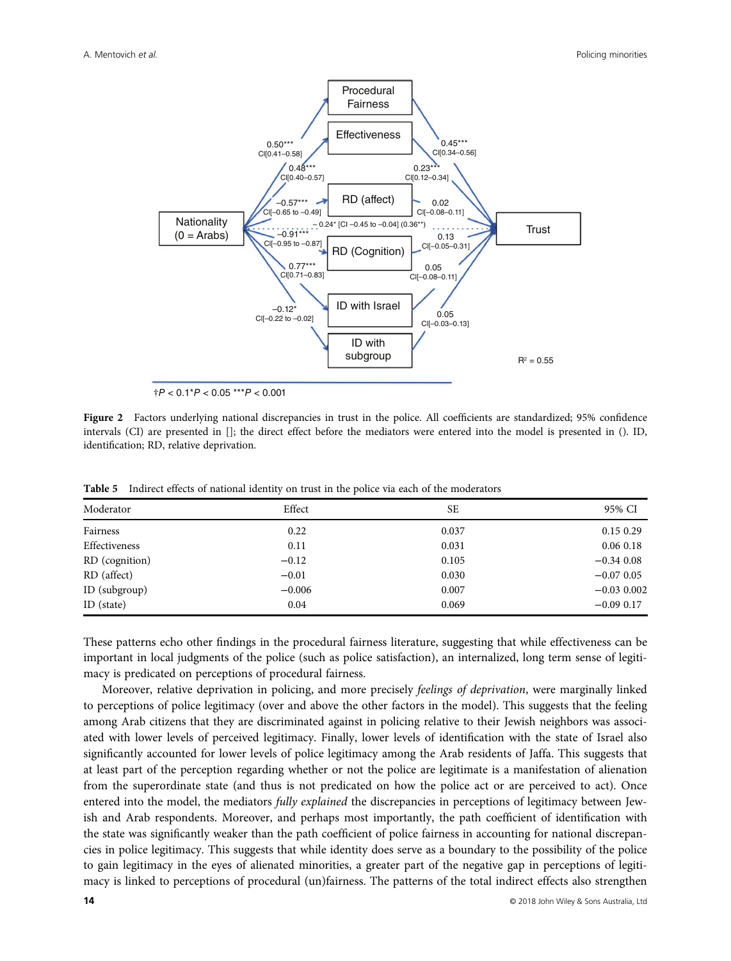

**†***P* < 0.1\**P* < 0.05 \*\*\**P* < 0.001

Figure 2 Factors underlying national discrepancies in trust in the police. All coefficients are standardized; 95% confidence intervals (CI) are presented in []; the direct effect before the mediators were entered into the model is presented in (). ID, identification; RD, relative deprivation.

| Moderator      | Effect   | <b>SE</b> | 95% CI        |
|----------------|----------|-----------|---------------|
| Fairness       | 0.22     | 0.037     | $0.15$ 0.29   |
| Effectiveness  | 0.11     | 0.031     | 0.060.18      |
| RD (cognition) | $-0.12$  | 0.105     | $-0.34$ 0.08  |
| RD (affect)    | $-0.01$  | 0.030     | $-0.07$ 0.05  |
| ID (subgroup)  | $-0.006$ | 0.007     | $-0.03$ 0.002 |
| ID $(state)$   | 0.04     | 0.069     | $-0.09$ 0.17  |

Table 5 Indirect effects of national identity on trust in the police via each of the moderators

These patterns echo other findings in the procedural fairness literature, suggesting that while effectiveness can be important in local judgments of the police (such as police satisfaction), an internalized, long term sense of legitimacy is predicated on perceptions of procedural fairness.

Moreover, relative deprivation in policing, and more precisely feelings of deprivation, were marginally linked to perceptions of police legitimacy (over and above the other factors in the model). This suggests that the feeling among Arab citizens that they are discriminated against in policing relative to their Jewish neighbors was associated with lower levels of perceived legitimacy. Finally, lower levels of identification with the state of Israel also significantly accounted for lower levels of police legitimacy among the Arab residents of Jaffa. This suggests that at least part of the perception regarding whether or not the police are legitimate is a manifestation of alienation from the superordinate state (and thus is not predicated on how the police act or are perceived to act). Once entered into the model, the mediators *fully explained* the discrepancies in perceptions of legitimacy between Jewish and Arab respondents. Moreover, and perhaps most importantly, the path coefficient of identification with the state was significantly weaker than the path coefficient of police fairness in accounting for national discrepancies in police legitimacy. This suggests that while identity does serve as a boundary to the possibility of the police to gain legitimacy in the eyes of alienated minorities, a greater part of the negative gap in perceptions of legitimacy is linked to perceptions of procedural (un)fairness. The patterns of the total indirect effects also strengthen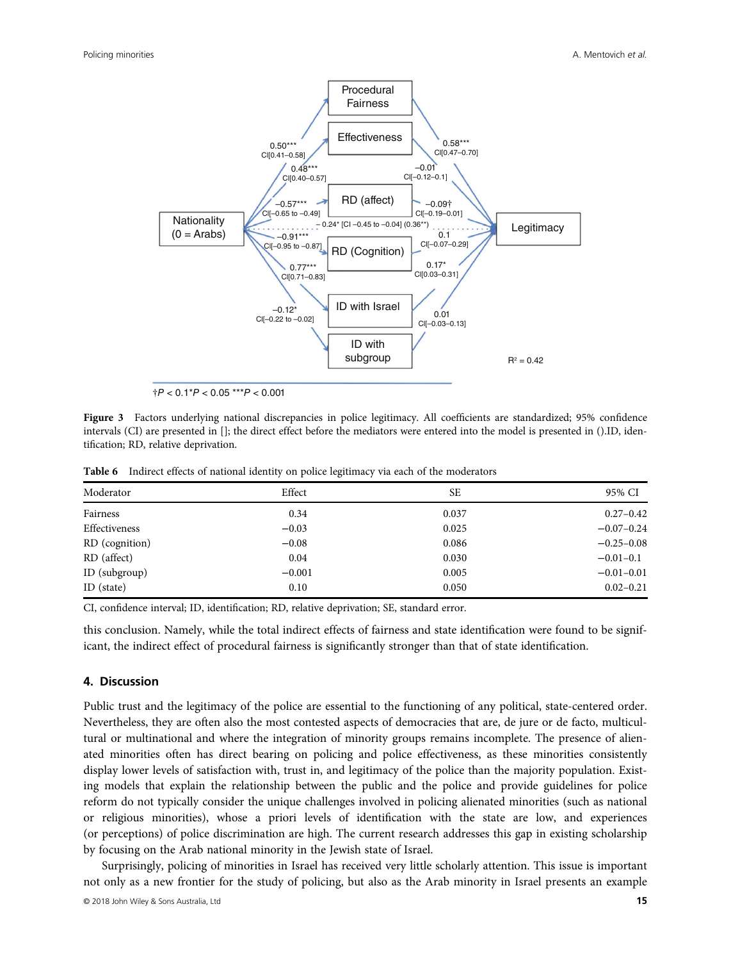

**†***P* < 0.1\**P* < 0.05 \*\*\**P* < 0.001

Figure 3 Factors underlying national discrepancies in police legitimacy. All coefficients are standardized; 95% confidence intervals (CI) are presented in []; the direct effect before the mediators were entered into the model is presented in ().ID, identification; RD, relative deprivation.

| Moderator      | Effect   | <b>SE</b> | 95% CI         |
|----------------|----------|-----------|----------------|
| Fairness       | 0.34     | 0.037     | $0.27 - 0.42$  |
| Effectiveness  | $-0.03$  | 0.025     | $-0.07 - 0.24$ |
| RD (cognition) | $-0.08$  | 0.086     | $-0.25 - 0.08$ |
| RD (affect)    | 0.04     | 0.030     | $-0.01 - 0.1$  |
| ID (subgroup)  | $-0.001$ | 0.005     | $-0.01 - 0.01$ |
| ID $(state)$   | 0.10     | 0.050     | $0.02 - 0.21$  |

Table 6 Indirect effects of national identity on police legitimacy via each of the moderators

CI, confidence interval; ID, identification; RD, relative deprivation; SE, standard error.

this conclusion. Namely, while the total indirect effects of fairness and state identification were found to be significant, the indirect effect of procedural fairness is significantly stronger than that of state identification.

#### 4. Discussion

Public trust and the legitimacy of the police are essential to the functioning of any political, state-centered order. Nevertheless, they are often also the most contested aspects of democracies that are, de jure or de facto, multicultural or multinational and where the integration of minority groups remains incomplete. The presence of alienated minorities often has direct bearing on policing and police effectiveness, as these minorities consistently display lower levels of satisfaction with, trust in, and legitimacy of the police than the majority population. Existing models that explain the relationship between the public and the police and provide guidelines for police reform do not typically consider the unique challenges involved in policing alienated minorities (such as national or religious minorities), whose a priori levels of identification with the state are low, and experiences (or perceptions) of police discrimination are high. The current research addresses this gap in existing scholarship by focusing on the Arab national minority in the Jewish state of Israel.

Surprisingly, policing of minorities in Israel has received very little scholarly attention. This issue is important not only as a new frontier for the study of policing, but also as the Arab minority in Israel presents an example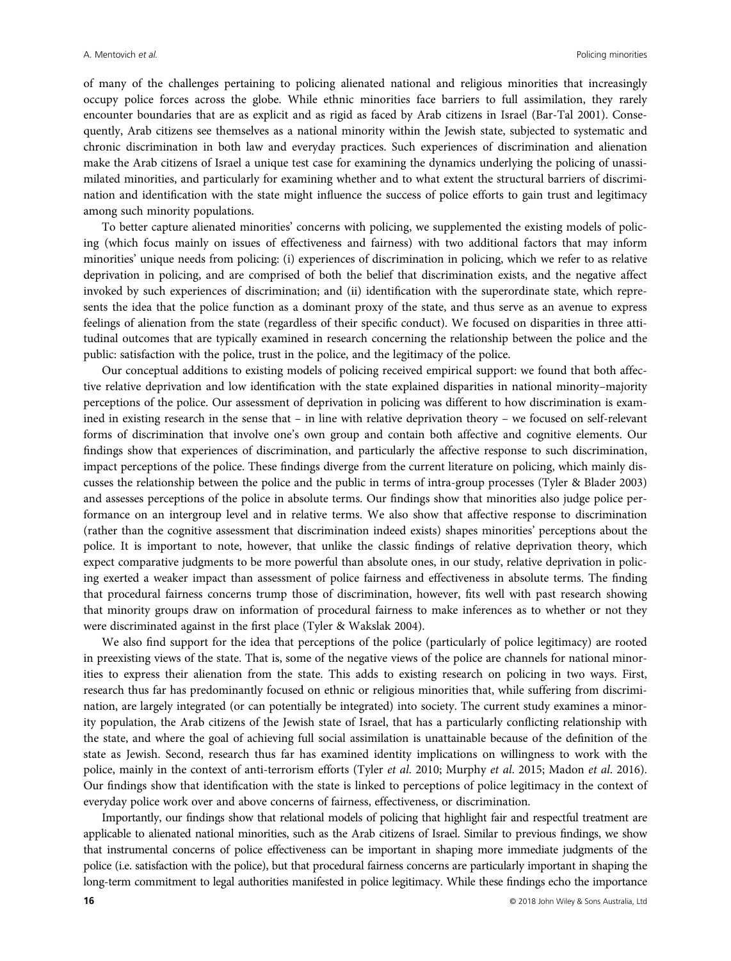of many of the challenges pertaining to policing alienated national and religious minorities that increasingly occupy police forces across the globe. While ethnic minorities face barriers to full assimilation, they rarely encounter boundaries that are as explicit and as rigid as faced by Arab citizens in Israel (Bar-Tal 2001). Consequently, Arab citizens see themselves as a national minority within the Jewish state, subjected to systematic and chronic discrimination in both law and everyday practices. Such experiences of discrimination and alienation make the Arab citizens of Israel a unique test case for examining the dynamics underlying the policing of unassimilated minorities, and particularly for examining whether and to what extent the structural barriers of discrimination and identification with the state might influence the success of police efforts to gain trust and legitimacy among such minority populations.

To better capture alienated minorities' concerns with policing, we supplemented the existing models of policing (which focus mainly on issues of effectiveness and fairness) with two additional factors that may inform minorities' unique needs from policing: (i) experiences of discrimination in policing, which we refer to as relative deprivation in policing, and are comprised of both the belief that discrimination exists, and the negative affect invoked by such experiences of discrimination; and (ii) identification with the superordinate state, which represents the idea that the police function as a dominant proxy of the state, and thus serve as an avenue to express feelings of alienation from the state (regardless of their specific conduct). We focused on disparities in three attitudinal outcomes that are typically examined in research concerning the relationship between the police and the public: satisfaction with the police, trust in the police, and the legitimacy of the police.

Our conceptual additions to existing models of policing received empirical support: we found that both affective relative deprivation and low identification with the state explained disparities in national minority–majority perceptions of the police. Our assessment of deprivation in policing was different to how discrimination is examined in existing research in the sense that – in line with relative deprivation theory – we focused on self-relevant forms of discrimination that involve one's own group and contain both affective and cognitive elements. Our findings show that experiences of discrimination, and particularly the affective response to such discrimination, impact perceptions of the police. These findings diverge from the current literature on policing, which mainly discusses the relationship between the police and the public in terms of intra-group processes (Tyler & Blader 2003) and assesses perceptions of the police in absolute terms. Our findings show that minorities also judge police performance on an intergroup level and in relative terms. We also show that affective response to discrimination (rather than the cognitive assessment that discrimination indeed exists) shapes minorities' perceptions about the police. It is important to note, however, that unlike the classic findings of relative deprivation theory, which expect comparative judgments to be more powerful than absolute ones, in our study, relative deprivation in policing exerted a weaker impact than assessment of police fairness and effectiveness in absolute terms. The finding that procedural fairness concerns trump those of discrimination, however, fits well with past research showing that minority groups draw on information of procedural fairness to make inferences as to whether or not they were discriminated against in the first place (Tyler & Wakslak 2004).

We also find support for the idea that perceptions of the police (particularly of police legitimacy) are rooted in preexisting views of the state. That is, some of the negative views of the police are channels for national minorities to express their alienation from the state. This adds to existing research on policing in two ways. First, research thus far has predominantly focused on ethnic or religious minorities that, while suffering from discrimination, are largely integrated (or can potentially be integrated) into society. The current study examines a minority population, the Arab citizens of the Jewish state of Israel, that has a particularly conflicting relationship with the state, and where the goal of achieving full social assimilation is unattainable because of the definition of the state as Jewish. Second, research thus far has examined identity implications on willingness to work with the police, mainly in the context of anti-terrorism efforts (Tyler et al. 2010; Murphy et al. 2015; Madon et al. 2016). Our findings show that identification with the state is linked to perceptions of police legitimacy in the context of everyday police work over and above concerns of fairness, effectiveness, or discrimination.

Importantly, our findings show that relational models of policing that highlight fair and respectful treatment are applicable to alienated national minorities, such as the Arab citizens of Israel. Similar to previous findings, we show that instrumental concerns of police effectiveness can be important in shaping more immediate judgments of the police (i.e. satisfaction with the police), but that procedural fairness concerns are particularly important in shaping the long-term commitment to legal authorities manifested in police legitimacy. While these findings echo the importance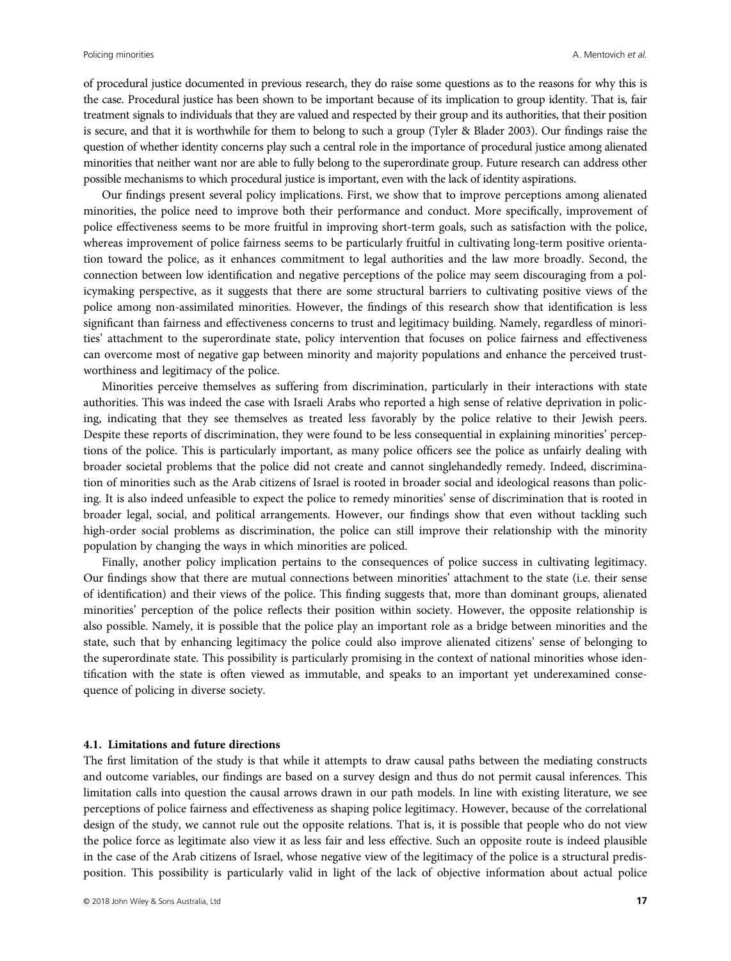of procedural justice documented in previous research, they do raise some questions as to the reasons for why this is the case. Procedural justice has been shown to be important because of its implication to group identity. That is, fair treatment signals to individuals that they are valued and respected by their group and its authorities, that their position is secure, and that it is worthwhile for them to belong to such a group (Tyler & Blader 2003). Our findings raise the question of whether identity concerns play such a central role in the importance of procedural justice among alienated minorities that neither want nor are able to fully belong to the superordinate group. Future research can address other possible mechanisms to which procedural justice is important, even with the lack of identity aspirations.

Our findings present several policy implications. First, we show that to improve perceptions among alienated minorities, the police need to improve both their performance and conduct. More specifically, improvement of police effectiveness seems to be more fruitful in improving short-term goals, such as satisfaction with the police, whereas improvement of police fairness seems to be particularly fruitful in cultivating long-term positive orientation toward the police, as it enhances commitment to legal authorities and the law more broadly. Second, the connection between low identification and negative perceptions of the police may seem discouraging from a policymaking perspective, as it suggests that there are some structural barriers to cultivating positive views of the police among non-assimilated minorities. However, the findings of this research show that identification is less significant than fairness and effectiveness concerns to trust and legitimacy building. Namely, regardless of minorities' attachment to the superordinate state, policy intervention that focuses on police fairness and effectiveness can overcome most of negative gap between minority and majority populations and enhance the perceived trustworthiness and legitimacy of the police.

Minorities perceive themselves as suffering from discrimination, particularly in their interactions with state authorities. This was indeed the case with Israeli Arabs who reported a high sense of relative deprivation in policing, indicating that they see themselves as treated less favorably by the police relative to their Jewish peers. Despite these reports of discrimination, they were found to be less consequential in explaining minorities' perceptions of the police. This is particularly important, as many police officers see the police as unfairly dealing with broader societal problems that the police did not create and cannot singlehandedly remedy. Indeed, discrimination of minorities such as the Arab citizens of Israel is rooted in broader social and ideological reasons than policing. It is also indeed unfeasible to expect the police to remedy minorities' sense of discrimination that is rooted in broader legal, social, and political arrangements. However, our findings show that even without tackling such high-order social problems as discrimination, the police can still improve their relationship with the minority population by changing the ways in which minorities are policed.

Finally, another policy implication pertains to the consequences of police success in cultivating legitimacy. Our findings show that there are mutual connections between minorities' attachment to the state (i.e. their sense of identification) and their views of the police. This finding suggests that, more than dominant groups, alienated minorities' perception of the police reflects their position within society. However, the opposite relationship is also possible. Namely, it is possible that the police play an important role as a bridge between minorities and the state, such that by enhancing legitimacy the police could also improve alienated citizens' sense of belonging to the superordinate state. This possibility is particularly promising in the context of national minorities whose identification with the state is often viewed as immutable, and speaks to an important yet underexamined consequence of policing in diverse society.

# 4.1. Limitations and future directions

The first limitation of the study is that while it attempts to draw causal paths between the mediating constructs and outcome variables, our findings are based on a survey design and thus do not permit causal inferences. This limitation calls into question the causal arrows drawn in our path models. In line with existing literature, we see perceptions of police fairness and effectiveness as shaping police legitimacy. However, because of the correlational design of the study, we cannot rule out the opposite relations. That is, it is possible that people who do not view the police force as legitimate also view it as less fair and less effective. Such an opposite route is indeed plausible in the case of the Arab citizens of Israel, whose negative view of the legitimacy of the police is a structural predisposition. This possibility is particularly valid in light of the lack of objective information about actual police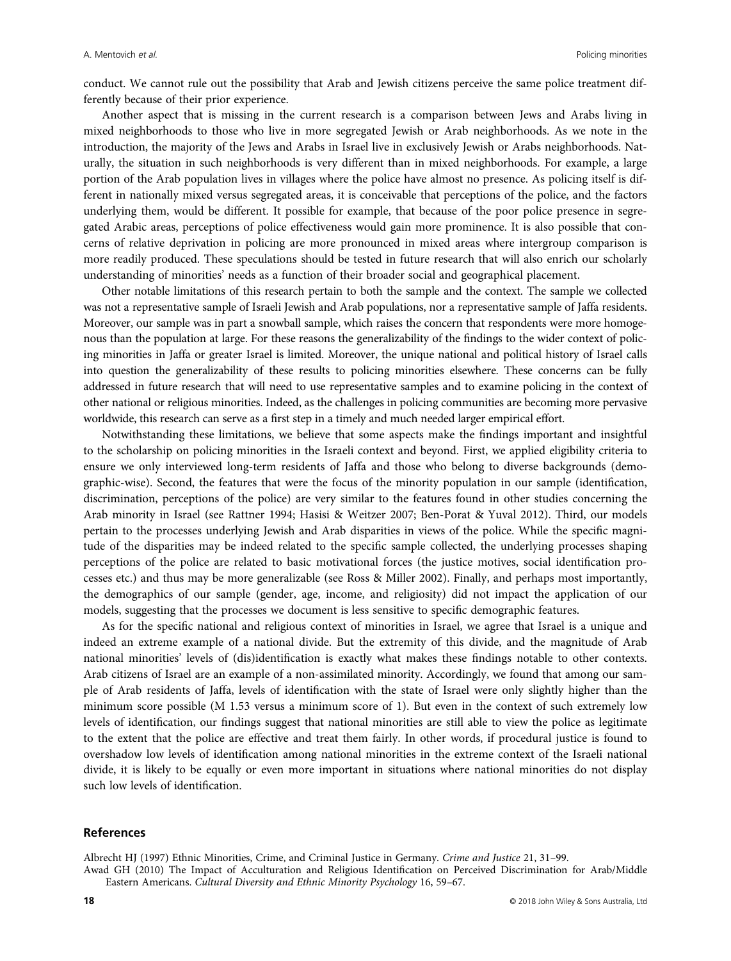conduct. We cannot rule out the possibility that Arab and Jewish citizens perceive the same police treatment differently because of their prior experience.

Another aspect that is missing in the current research is a comparison between Jews and Arabs living in mixed neighborhoods to those who live in more segregated Jewish or Arab neighborhoods. As we note in the introduction, the majority of the Jews and Arabs in Israel live in exclusively Jewish or Arabs neighborhoods. Naturally, the situation in such neighborhoods is very different than in mixed neighborhoods. For example, a large portion of the Arab population lives in villages where the police have almost no presence. As policing itself is different in nationally mixed versus segregated areas, it is conceivable that perceptions of the police, and the factors underlying them, would be different. It possible for example, that because of the poor police presence in segregated Arabic areas, perceptions of police effectiveness would gain more prominence. It is also possible that concerns of relative deprivation in policing are more pronounced in mixed areas where intergroup comparison is more readily produced. These speculations should be tested in future research that will also enrich our scholarly understanding of minorities' needs as a function of their broader social and geographical placement.

Other notable limitations of this research pertain to both the sample and the context. The sample we collected was not a representative sample of Israeli Jewish and Arab populations, nor a representative sample of Jaffa residents. Moreover, our sample was in part a snowball sample, which raises the concern that respondents were more homogenous than the population at large. For these reasons the generalizability of the findings to the wider context of policing minorities in Jaffa or greater Israel is limited. Moreover, the unique national and political history of Israel calls into question the generalizability of these results to policing minorities elsewhere. These concerns can be fully addressed in future research that will need to use representative samples and to examine policing in the context of other national or religious minorities. Indeed, as the challenges in policing communities are becoming more pervasive worldwide, this research can serve as a first step in a timely and much needed larger empirical effort.

Notwithstanding these limitations, we believe that some aspects make the findings important and insightful to the scholarship on policing minorities in the Israeli context and beyond. First, we applied eligibility criteria to ensure we only interviewed long-term residents of Jaffa and those who belong to diverse backgrounds (demographic-wise). Second, the features that were the focus of the minority population in our sample (identification, discrimination, perceptions of the police) are very similar to the features found in other studies concerning the Arab minority in Israel (see Rattner 1994; Hasisi & Weitzer 2007; Ben-Porat & Yuval 2012). Third, our models pertain to the processes underlying Jewish and Arab disparities in views of the police. While the specific magnitude of the disparities may be indeed related to the specific sample collected, the underlying processes shaping perceptions of the police are related to basic motivational forces (the justice motives, social identification processes etc.) and thus may be more generalizable (see Ross & Miller 2002). Finally, and perhaps most importantly, the demographics of our sample (gender, age, income, and religiosity) did not impact the application of our models, suggesting that the processes we document is less sensitive to specific demographic features.

As for the specific national and religious context of minorities in Israel, we agree that Israel is a unique and indeed an extreme example of a national divide. But the extremity of this divide, and the magnitude of Arab national minorities' levels of (dis)identification is exactly what makes these findings notable to other contexts. Arab citizens of Israel are an example of a non-assimilated minority. Accordingly, we found that among our sample of Arab residents of Jaffa, levels of identification with the state of Israel were only slightly higher than the minimum score possible (M 1.53 versus a minimum score of 1). But even in the context of such extremely low levels of identification, our findings suggest that national minorities are still able to view the police as legitimate to the extent that the police are effective and treat them fairly. In other words, if procedural justice is found to overshadow low levels of identification among national minorities in the extreme context of the Israeli national divide, it is likely to be equally or even more important in situations where national minorities do not display such low levels of identification.

### References

Albrecht HJ (1997) Ethnic Minorities, Crime, and Criminal Justice in Germany. Crime and Justice 21, 31–99.

Awad GH (2010) The Impact of Acculturation and Religious Identification on Perceived Discrimination for Arab/Middle Eastern Americans. Cultural Diversity and Ethnic Minority Psychology 16, 59–67.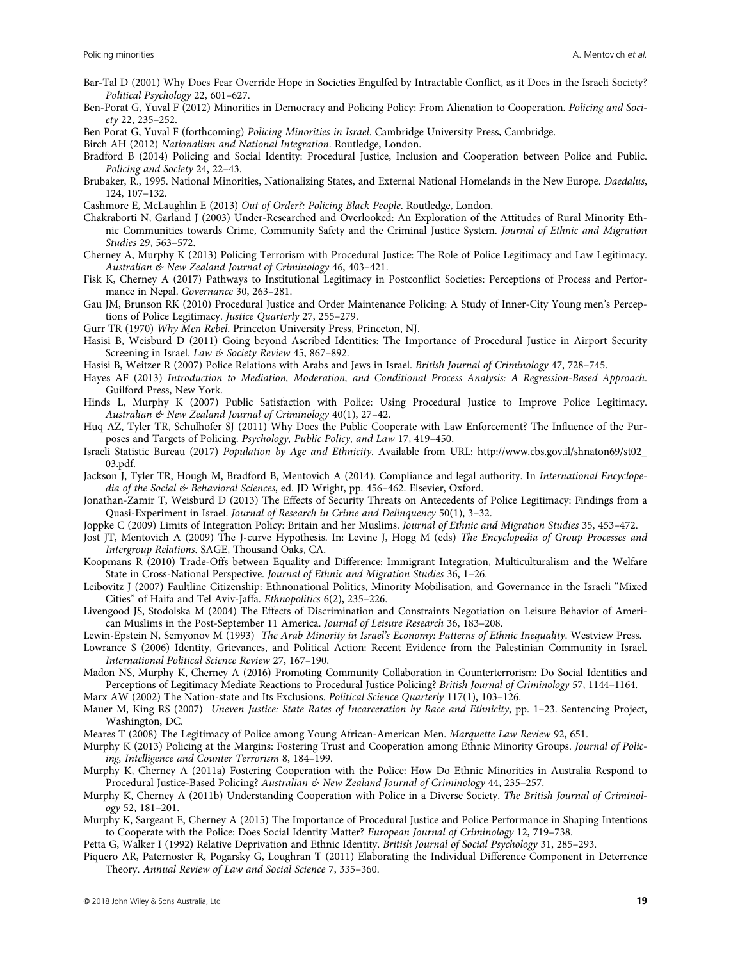- Bar-Tal D (2001) Why Does Fear Override Hope in Societies Engulfed by Intractable Conflict, as it Does in the Israeli Society? Political Psychology 22, 601–627.
- Ben-Porat G, Yuval F (2012) Minorities in Democracy and Policing Policy: From Alienation to Cooperation. Policing and Society 22, 235–252.
- Ben Porat G, Yuval F (forthcoming) Policing Minorities in Israel. Cambridge University Press, Cambridge.
- Birch AH (2012) Nationalism and National Integration. Routledge, London.
- Bradford B (2014) Policing and Social Identity: Procedural Justice, Inclusion and Cooperation between Police and Public. Policing and Society 24, 22–43.
- Brubaker, R., 1995. National Minorities, Nationalizing States, and External National Homelands in the New Europe. Daedalus, 124, 107–132.
- Cashmore E, McLaughlin E (2013) Out of Order?: Policing Black People. Routledge, London.
- Chakraborti N, Garland J (2003) Under-Researched and Overlooked: An Exploration of the Attitudes of Rural Minority Ethnic Communities towards Crime, Community Safety and the Criminal Justice System. Journal of Ethnic and Migration Studies 29, 563–572.
- Cherney A, Murphy K (2013) Policing Terrorism with Procedural Justice: The Role of Police Legitimacy and Law Legitimacy. Australian & New Zealand Journal of Criminology 46, 403–421.
- Fisk K, Cherney A (2017) Pathways to Institutional Legitimacy in Postconflict Societies: Perceptions of Process and Performance in Nepal. Governance 30, 263–281.
- Gau JM, Brunson RK (2010) Procedural Justice and Order Maintenance Policing: A Study of Inner-City Young men's Perceptions of Police Legitimacy. Justice Quarterly 27, 255–279.
- Gurr TR (1970) Why Men Rebel. Princeton University Press, Princeton, NJ.
- Hasisi B, Weisburd D (2011) Going beyond Ascribed Identities: The Importance of Procedural Justice in Airport Security Screening in Israel. Law & Society Review 45, 867-892.
- Hasisi B, Weitzer R (2007) Police Relations with Arabs and Jews in Israel. British Journal of Criminology 47, 728–745.
- Hayes AF (2013) Introduction to Mediation, Moderation, and Conditional Process Analysis: A Regression-Based Approach. Guilford Press, New York.
- Hinds L, Murphy K (2007) Public Satisfaction with Police: Using Procedural Justice to Improve Police Legitimacy. Australian & New Zealand Journal of Criminology 40(1), 27–42.
- Huq AZ, Tyler TR, Schulhofer SJ (2011) Why Does the Public Cooperate with Law Enforcement? The Influence of the Purposes and Targets of Policing. Psychology, Public Policy, and Law 17, 419–450.
- Israeli Statistic Bureau (2017) Population by Age and Ethnicity. Available from URL: [http://www.cbs.gov.il/shnaton69/st02\\_](http://www.cbs.gov.il/shnaton69/st02_03.pdf) [03.pdf.](http://www.cbs.gov.il/shnaton69/st02_03.pdf)
- Jackson J, Tyler TR, Hough M, Bradford B, Mentovich A (2014). Compliance and legal authority. In International Encyclopedia of the Social & Behavioral Sciences, ed. JD Wright, pp. 456-462. Elsevier, Oxford.
- Jonathan-Zamir T, Weisburd D (2013) The Effects of Security Threats on Antecedents of Police Legitimacy: Findings from a Quasi-Experiment in Israel. Journal of Research in Crime and Delinquency 50(1), 3–32.
- Joppke C (2009) Limits of Integration Policy: Britain and her Muslims. Journal of Ethnic and Migration Studies 35, 453–472.
- Jost JT, Mentovich A (2009) The J-curve Hypothesis. In: Levine J, Hogg M (eds) The Encyclopedia of Group Processes and Intergroup Relations. SAGE, Thousand Oaks, CA.
- Koopmans R (2010) Trade-Offs between Equality and Difference: Immigrant Integration, Multiculturalism and the Welfare State in Cross-National Perspective. Journal of Ethnic and Migration Studies 36, 1–26.
- Leibovitz J (2007) Faultline Citizenship: Ethnonational Politics, Minority Mobilisation, and Governance in the Israeli "Mixed Cities" of Haifa and Tel Aviv-Jaffa. Ethnopolitics 6(2), 235–226.
- Livengood JS, Stodolska M (2004) The Effects of Discrimination and Constraints Negotiation on Leisure Behavior of American Muslims in the Post-September 11 America. Journal of Leisure Research 36, 183–208.
- Lewin-Epstein N, Semyonov M (1993) The Arab Minority in Israel's Economy: Patterns of Ethnic Inequality. Westview Press.
- Lowrance S (2006) Identity, Grievances, and Political Action: Recent Evidence from the Palestinian Community in Israel. International Political Science Review 27, 167–190.
- Madon NS, Murphy K, Cherney A (2016) Promoting Community Collaboration in Counterterrorism: Do Social Identities and Perceptions of Legitimacy Mediate Reactions to Procedural Justice Policing? British Journal of Criminology 57, 1144–1164.
- Marx AW (2002) The Nation-state and Its Exclusions. Political Science Quarterly 117(1), 103–126.
- Mauer M, King RS (2007) Uneven Justice: State Rates of Incarceration by Race and Ethnicity, pp. 1–23. Sentencing Project, Washington, DC.
- Meares T (2008) The Legitimacy of Police among Young African-American Men. Marquette Law Review 92, 651.
- Murphy K (2013) Policing at the Margins: Fostering Trust and Cooperation among Ethnic Minority Groups. Journal of Policing, Intelligence and Counter Terrorism 8, 184–199.
- Murphy K, Cherney A (2011a) Fostering Cooperation with the Police: How Do Ethnic Minorities in Australia Respond to Procedural Justice-Based Policing? Australian & New Zealand Journal of Criminology 44, 235-257.
- Murphy K, Cherney A (2011b) Understanding Cooperation with Police in a Diverse Society. The British Journal of Criminology 52, 181–201.
- Murphy K, Sargeant E, Cherney A (2015) The Importance of Procedural Justice and Police Performance in Shaping Intentions to Cooperate with the Police: Does Social Identity Matter? European Journal of Criminology 12, 719-738.
- Petta G, Walker I (1992) Relative Deprivation and Ethnic Identity. British Journal of Social Psychology 31, 285–293.
- Piquero AR, Paternoster R, Pogarsky G, Loughran T (2011) Elaborating the Individual Difference Component in Deterrence Theory. Annual Review of Law and Social Science 7, 335–360.